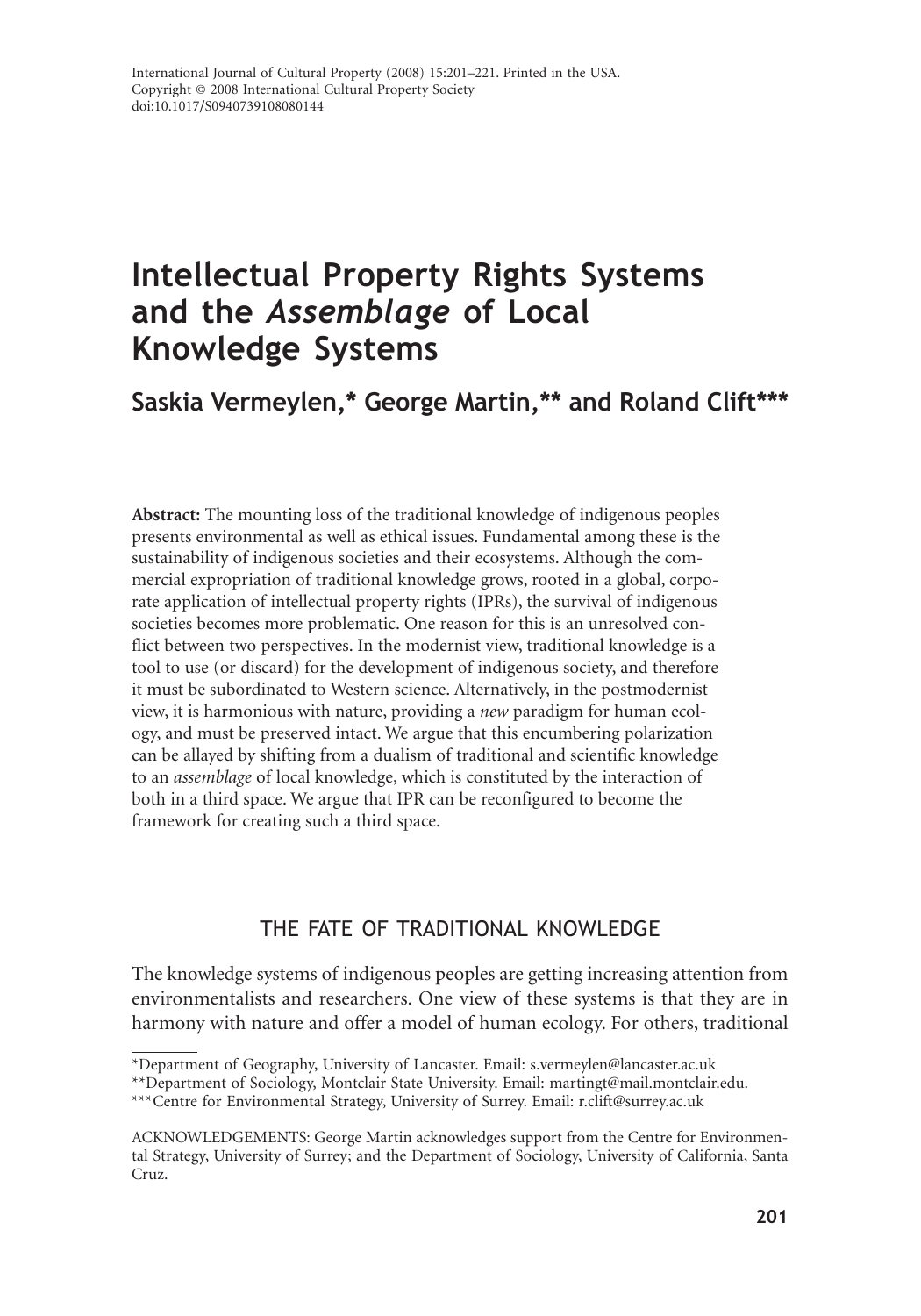# **Intellectual Property Rights Systems and the** *Assemblage* **of Local Knowledge Systems**

# **Saskia Vermeylen,\* George Martin,\*\* and Roland Clift\*\*\***

**Abstract:** The mounting loss of the traditional knowledge of indigenous peoples presents environmental as well as ethical issues. Fundamental among these is the sustainability of indigenous societies and their ecosystems. Although the commercial expropriation of traditional knowledge grows, rooted in a global, corporate application of intellectual property rights (IPRs), the survival of indigenous societies becomes more problematic. One reason for this is an unresolved conflict between two perspectives. In the modernist view, traditional knowledge is a tool to use (or discard) for the development of indigenous society, and therefore it must be subordinated to Western science. Alternatively, in the postmodernist view, it is harmonious with nature, providing a *new* paradigm for human ecology, and must be preserved intact. We argue that this encumbering polarization can be allayed by shifting from a dualism of traditional and scientific knowledge to an *assemblage* of local knowledge, which is constituted by the interaction of both in a third space. We argue that IPR can be reconfigured to become the framework for creating such a third space.

## THE FATE OF TRADITIONAL KNOWLEDGE

The knowledge systems of indigenous peoples are getting increasing attention from environmentalists and researchers. One view of these systems is that they are in harmony with nature and offer a model of human ecology. For others, traditional

<sup>\*</sup>Department of Geography, University of Lancaster. Email: s.vermeylen@lancaster.ac.uk

<sup>\*\*</sup>Department of Sociology, Montclair State University. Email: martingt@mail.montclair.edu.

<sup>\*\*\*</sup>Centre for Environmental Strategy, University of Surrey. Email: r.clift@surrey.ac.uk

ACKNOWLEDGEMENTS: George Martin acknowledges support from the Centre for Environmental Strategy, University of Surrey; and the Department of Sociology, University of California, Santa Cruz.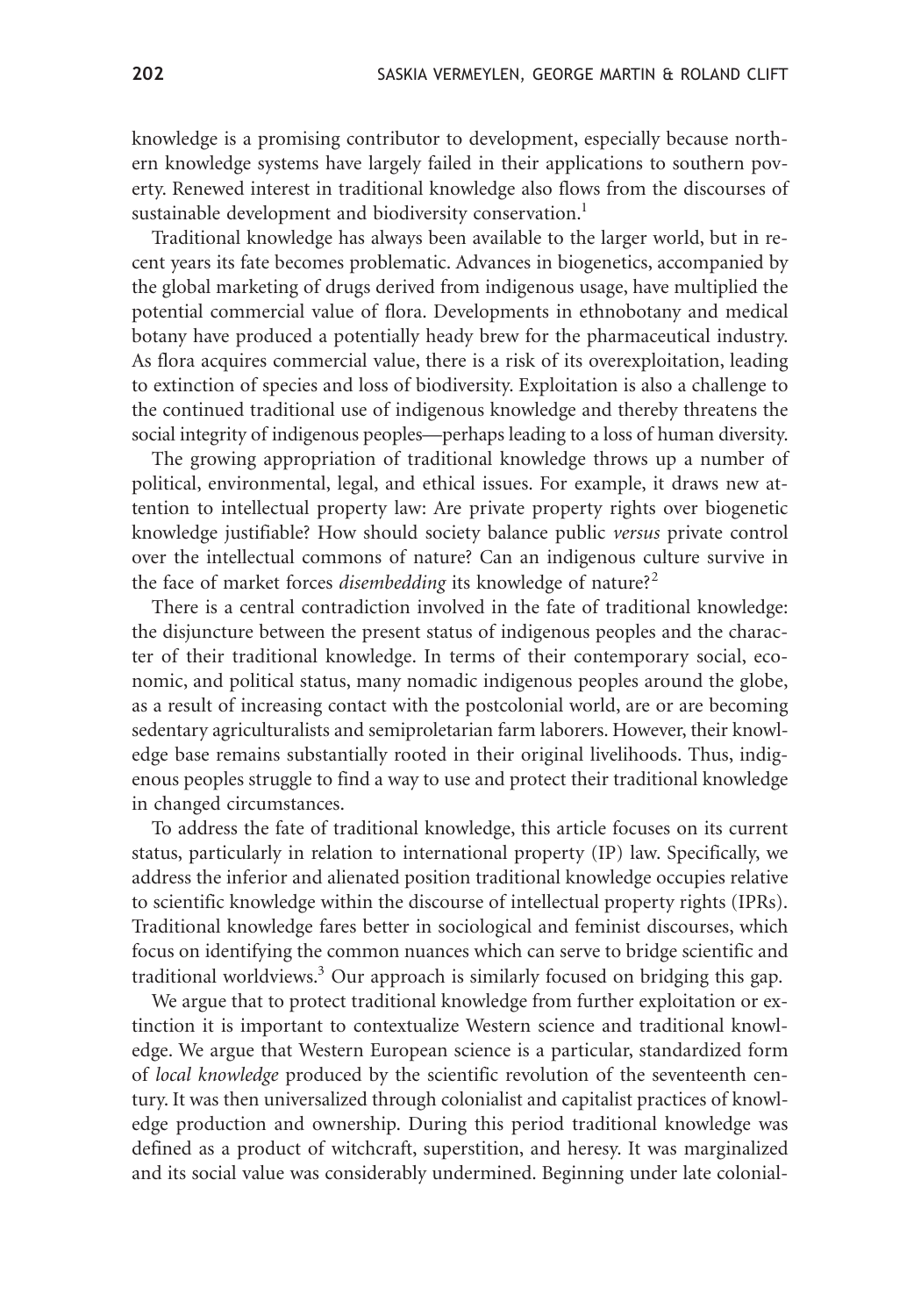knowledge is a promising contributor to development, especially because northern knowledge systems have largely failed in their applications to southern poverty. Renewed interest in traditional knowledge also flows from the discourses of sustainable development and biodiversity conservation.<sup>1</sup>

Traditional knowledge has always been available to the larger world, but in recent years its fate becomes problematic. Advances in biogenetics, accompanied by the global marketing of drugs derived from indigenous usage, have multiplied the potential commercial value of flora. Developments in ethnobotany and medical botany have produced a potentially heady brew for the pharmaceutical industry. As flora acquires commercial value, there is a risk of its overexploitation, leading to extinction of species and loss of biodiversity. Exploitation is also a challenge to the continued traditional use of indigenous knowledge and thereby threatens the social integrity of indigenous peoples—perhaps leading to a loss of human diversity.

The growing appropriation of traditional knowledge throws up a number of political, environmental, legal, and ethical issues. For example, it draws new attention to intellectual property law: Are private property rights over biogenetic knowledge justifiable? How should society balance public *versus* private control over the intellectual commons of nature? Can an indigenous culture survive in the face of market forces *disembedding* its knowledge of nature?<sup>2</sup>

There is a central contradiction involved in the fate of traditional knowledge: the disjuncture between the present status of indigenous peoples and the character of their traditional knowledge. In terms of their contemporary social, economic, and political status, many nomadic indigenous peoples around the globe, as a result of increasing contact with the postcolonial world, are or are becoming sedentary agriculturalists and semiproletarian farm laborers. However, their knowledge base remains substantially rooted in their original livelihoods. Thus, indigenous peoples struggle to find a way to use and protect their traditional knowledge in changed circumstances.

To address the fate of traditional knowledge, this article focuses on its current status, particularly in relation to international property (IP) law. Specifically, we address the inferior and alienated position traditional knowledge occupies relative to scientific knowledge within the discourse of intellectual property rights (IPRs). Traditional knowledge fares better in sociological and feminist discourses, which focus on identifying the common nuances which can serve to bridge scientific and traditional worldviews.<sup>3</sup> Our approach is similarly focused on bridging this gap.

We argue that to protect traditional knowledge from further exploitation or extinction it is important to contextualize Western science and traditional knowledge. We argue that Western European science is a particular, standardized form of *local knowledge* produced by the scientific revolution of the seventeenth century. It was then universalized through colonialist and capitalist practices of knowledge production and ownership. During this period traditional knowledge was defined as a product of witchcraft, superstition, and heresy. It was marginalized and its social value was considerably undermined. Beginning under late colonial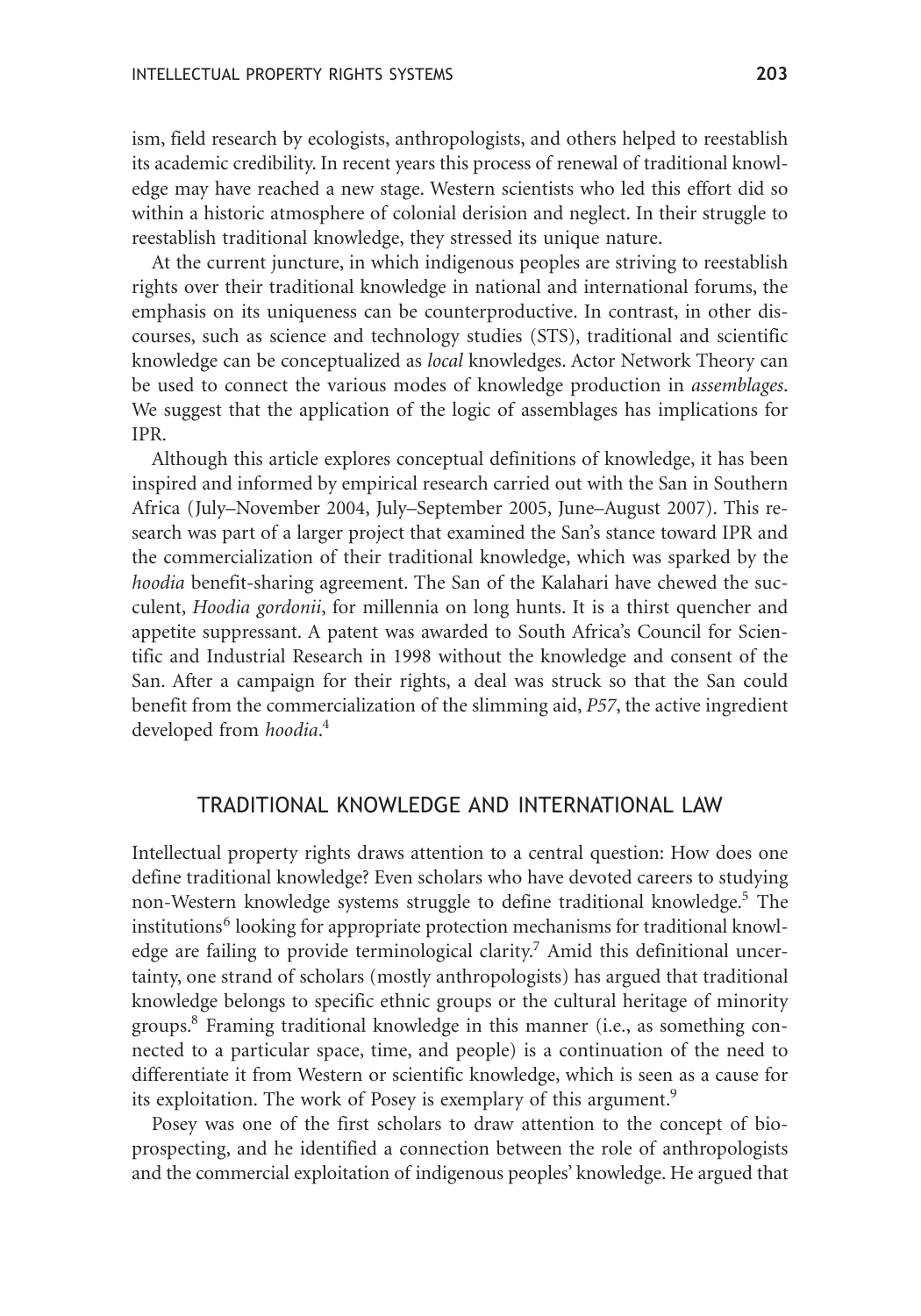ism, field research by ecologists, anthropologists, and others helped to reestablish its academic credibility. In recent years this process of renewal of traditional knowledge may have reached a new stage. Western scientists who led this effort did so within a historic atmosphere of colonial derision and neglect. In their struggle to reestablish traditional knowledge, they stressed its unique nature.

At the current juncture, in which indigenous peoples are striving to reestablish rights over their traditional knowledge in national and international forums, the emphasis on its uniqueness can be counterproductive. In contrast, in other discourses, such as science and technology studies (STS), traditional and scientific knowledge can be conceptualized as *local* knowledges. Actor Network Theory can be used to connect the various modes of knowledge production in *assemblages*. We suggest that the application of the logic of assemblages has implications for IPR.

Although this article explores conceptual definitions of knowledge, it has been inspired and informed by empirical research carried out with the San in Southern Africa (July–November 2004, July–September 2005, June–August 2007). This research was part of a larger project that examined the San's stance toward IPR and the commercialization of their traditional knowledge, which was sparked by the *hoodia* benefit-sharing agreement. The San of the Kalahari have chewed the succulent, *Hoodia gordonii*, for millennia on long hunts. It is a thirst quencher and appetite suppressant. A patent was awarded to South Africa's Council for Scientific and Industrial Research in 1998 without the knowledge and consent of the San. After a campaign for their rights, a deal was struck so that the San could benefit from the commercialization of the slimming aid, *P57*, the active ingredient developed from *hoodia*. 4

#### TRADITIONAL KNOWLEDGE AND INTERNATIONAL LAW

Intellectual property rights draws attention to a central question: How does one define traditional knowledge? Even scholars who have devoted careers to studying non-Western knowledge systems struggle to define traditional knowledge.<sup>5</sup> The institutions<sup>6</sup> looking for appropriate protection mechanisms for traditional knowledge are failing to provide terminological clarity.<sup>7</sup> Amid this definitional uncertainty, one strand of scholars (mostly anthropologists) has argued that traditional knowledge belongs to specific ethnic groups or the cultural heritage of minority groups.8 Framing traditional knowledge in this manner (i.e., as something connected to a particular space, time, and people) is a continuation of the need to differentiate it from Western or scientific knowledge, which is seen as a cause for its exploitation. The work of Posey is exemplary of this argument.<sup>9</sup>

Posey was one of the first scholars to draw attention to the concept of bioprospecting, and he identified a connection between the role of anthropologists and the commercial exploitation of indigenous peoples' knowledge. He argued that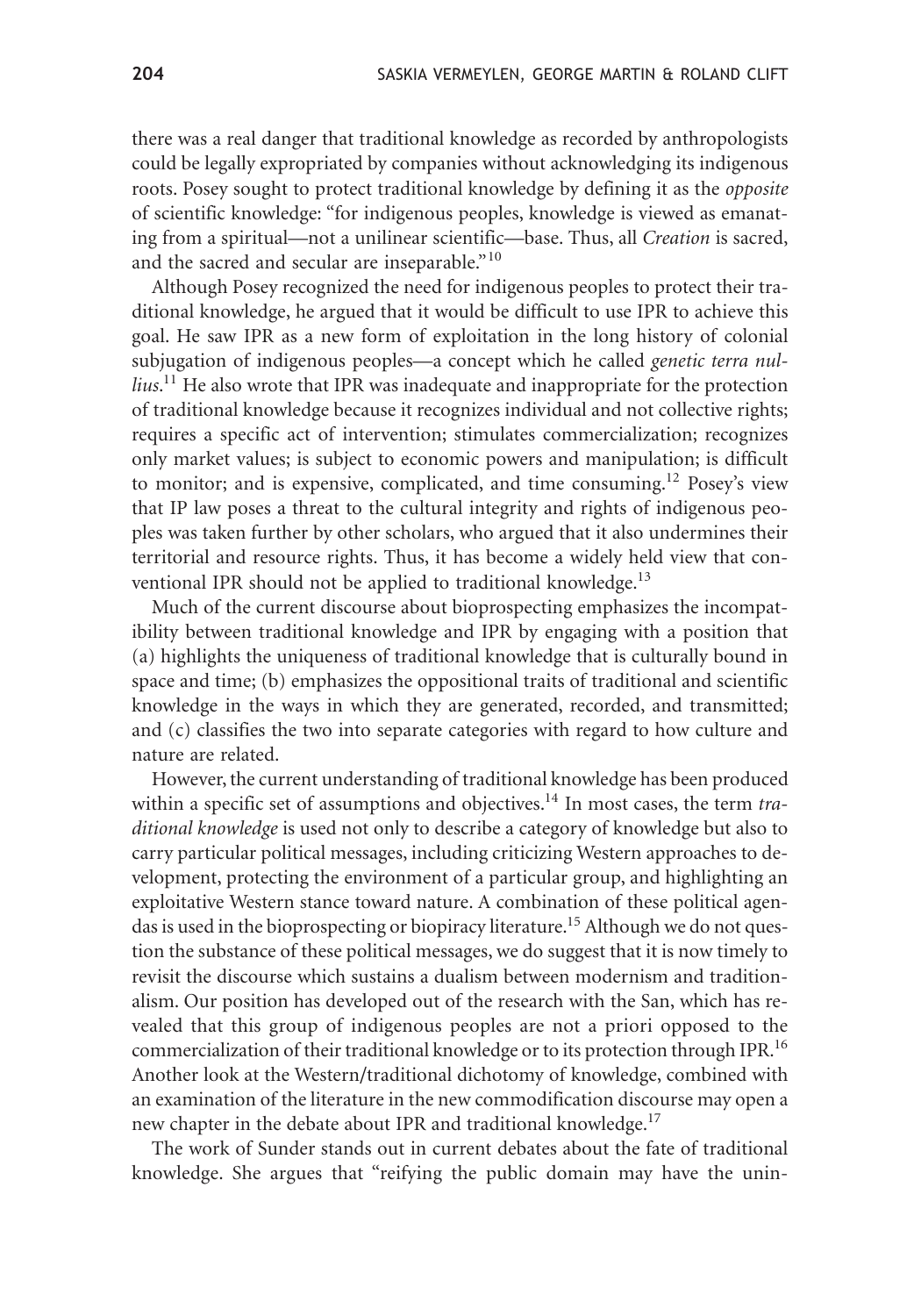there was a real danger that traditional knowledge as recorded by anthropologists could be legally expropriated by companies without acknowledging its indigenous roots. Posey sought to protect traditional knowledge by defining it as the *opposite* of scientific knowledge: "for indigenous peoples, knowledge is viewed as emanating from a spiritual—not a unilinear scientific—base. Thus, all *Creation* is sacred, and the sacred and secular are inseparable."<sup>10</sup>

Although Posey recognized the need for indigenous peoples to protect their traditional knowledge, he argued that it would be difficult to use IPR to achieve this goal. He saw IPR as a new form of exploitation in the long history of colonial subjugation of indigenous peoples—a concept which he called *genetic terra nullius*. <sup>11</sup> He also wrote that IPR was inadequate and inappropriate for the protection of traditional knowledge because it recognizes individual and not collective rights; requires a specific act of intervention; stimulates commercialization; recognizes only market values; is subject to economic powers and manipulation; is difficult to monitor; and is expensive, complicated, and time consuming.<sup>12</sup> Posey's view that IP law poses a threat to the cultural integrity and rights of indigenous peoples was taken further by other scholars, who argued that it also undermines their territorial and resource rights. Thus, it has become a widely held view that conventional IPR should not be applied to traditional knowledge.<sup>13</sup>

Much of the current discourse about bioprospecting emphasizes the incompatibility between traditional knowledge and IPR by engaging with a position that (a) highlights the uniqueness of traditional knowledge that is culturally bound in space and time; (b) emphasizes the oppositional traits of traditional and scientific knowledge in the ways in which they are generated, recorded, and transmitted; and (c) classifies the two into separate categories with regard to how culture and nature are related.

However, the current understanding of traditional knowledge has been produced within a specific set of assumptions and objectives.14 In most cases, the term *traditional knowledge* is used not only to describe a category of knowledge but also to carry particular political messages, including criticizing Western approaches to development, protecting the environment of a particular group, and highlighting an exploitative Western stance toward nature. A combination of these political agendas is used in the bioprospecting or biopiracy literature.<sup>15</sup> Although we do not question the substance of these political messages, we do suggest that it is now timely to revisit the discourse which sustains a dualism between modernism and traditionalism. Our position has developed out of the research with the San, which has revealed that this group of indigenous peoples are not a priori opposed to the commercialization of their traditional knowledge or to its protection through IPR.16 Another look at the Western/traditional dichotomy of knowledge, combined with an examination of the literature in the new commodification discourse may open a new chapter in the debate about IPR and traditional knowledge.<sup>17</sup>

The work of Sunder stands out in current debates about the fate of traditional knowledge. She argues that "reifying the public domain may have the unin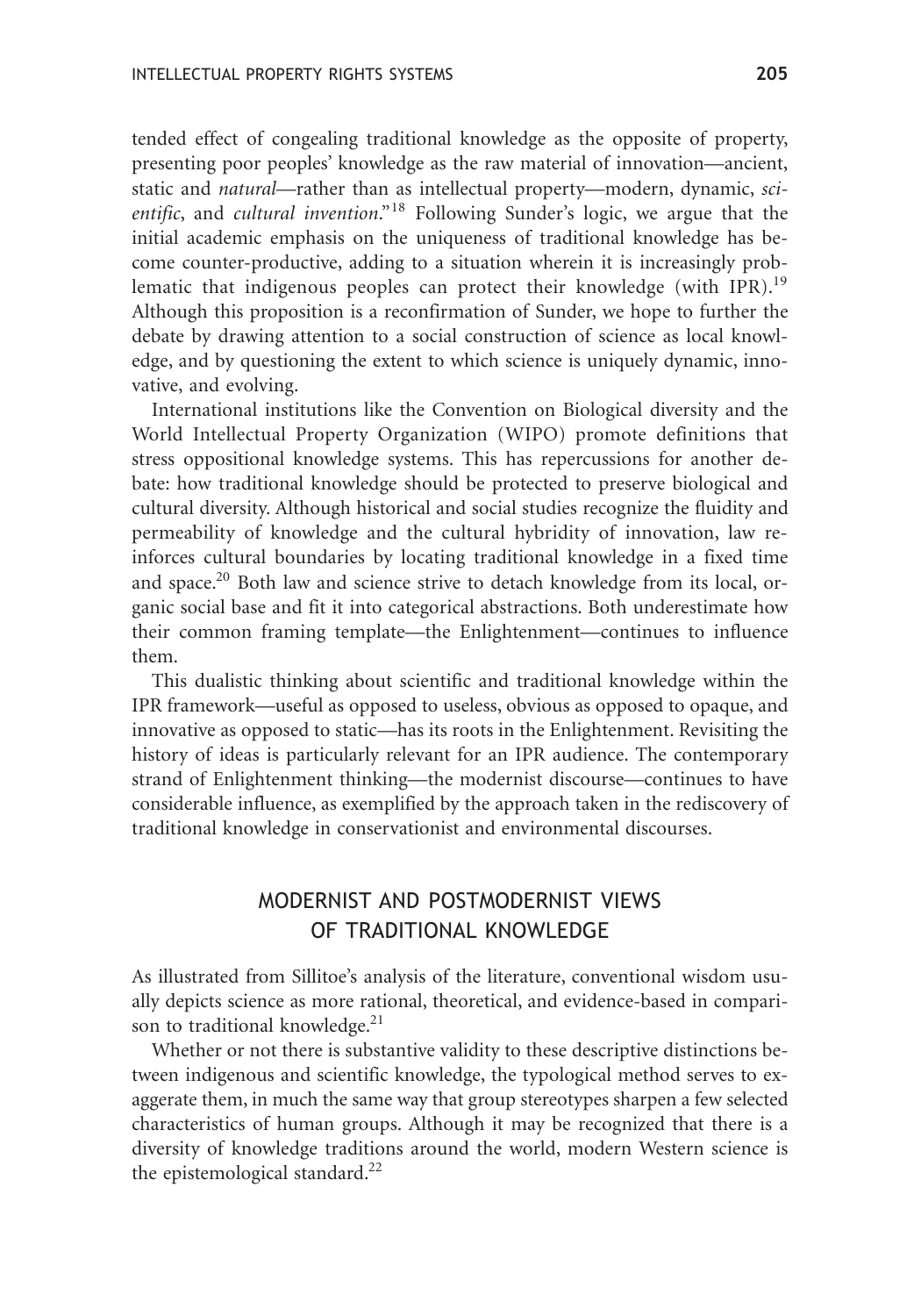tended effect of congealing traditional knowledge as the opposite of property, presenting poor peoples' knowledge as the raw material of innovation—ancient, static and *natural*—rather than as intellectual property—modern, dynamic, *scientific*, and *cultural invention*."<sup>18</sup> Following Sunder's logic, we argue that the initial academic emphasis on the uniqueness of traditional knowledge has become counter-productive, adding to a situation wherein it is increasingly problematic that indigenous peoples can protect their knowledge (with IPR).<sup>19</sup> Although this proposition is a reconfirmation of Sunder, we hope to further the debate by drawing attention to a social construction of science as local knowledge, and by questioning the extent to which science is uniquely dynamic, innovative, and evolving.

International institutions like the Convention on Biological diversity and the World Intellectual Property Organization (WIPO) promote definitions that stress oppositional knowledge systems. This has repercussions for another debate: how traditional knowledge should be protected to preserve biological and cultural diversity. Although historical and social studies recognize the fluidity and permeability of knowledge and the cultural hybridity of innovation, law reinforces cultural boundaries by locating traditional knowledge in a fixed time and space.<sup>20</sup> Both law and science strive to detach knowledge from its local, organic social base and fit it into categorical abstractions. Both underestimate how their common framing template—the Enlightenment—continues to influence them.

This dualistic thinking about scientific and traditional knowledge within the IPR framework—useful as opposed to useless, obvious as opposed to opaque, and innovative as opposed to static—has its roots in the Enlightenment. Revisiting the history of ideas is particularly relevant for an IPR audience. The contemporary strand of Enlightenment thinking—the modernist discourse—continues to have considerable influence, as exemplified by the approach taken in the rediscovery of traditional knowledge in conservationist and environmental discourses.

# MODERNIST AND POSTMODERNIST VIEWS OF TRADITIONAL KNOWLEDGE

As illustrated from Sillitoe's analysis of the literature, conventional wisdom usually depicts science as more rational, theoretical, and evidence-based in comparison to traditional knowledge.<sup>21</sup>

Whether or not there is substantive validity to these descriptive distinctions between indigenous and scientific knowledge, the typological method serves to exaggerate them, in much the same way that group stereotypes sharpen a few selected characteristics of human groups. Although it may be recognized that there is a diversity of knowledge traditions around the world, modern Western science is the epistemological standard.<sup>22</sup>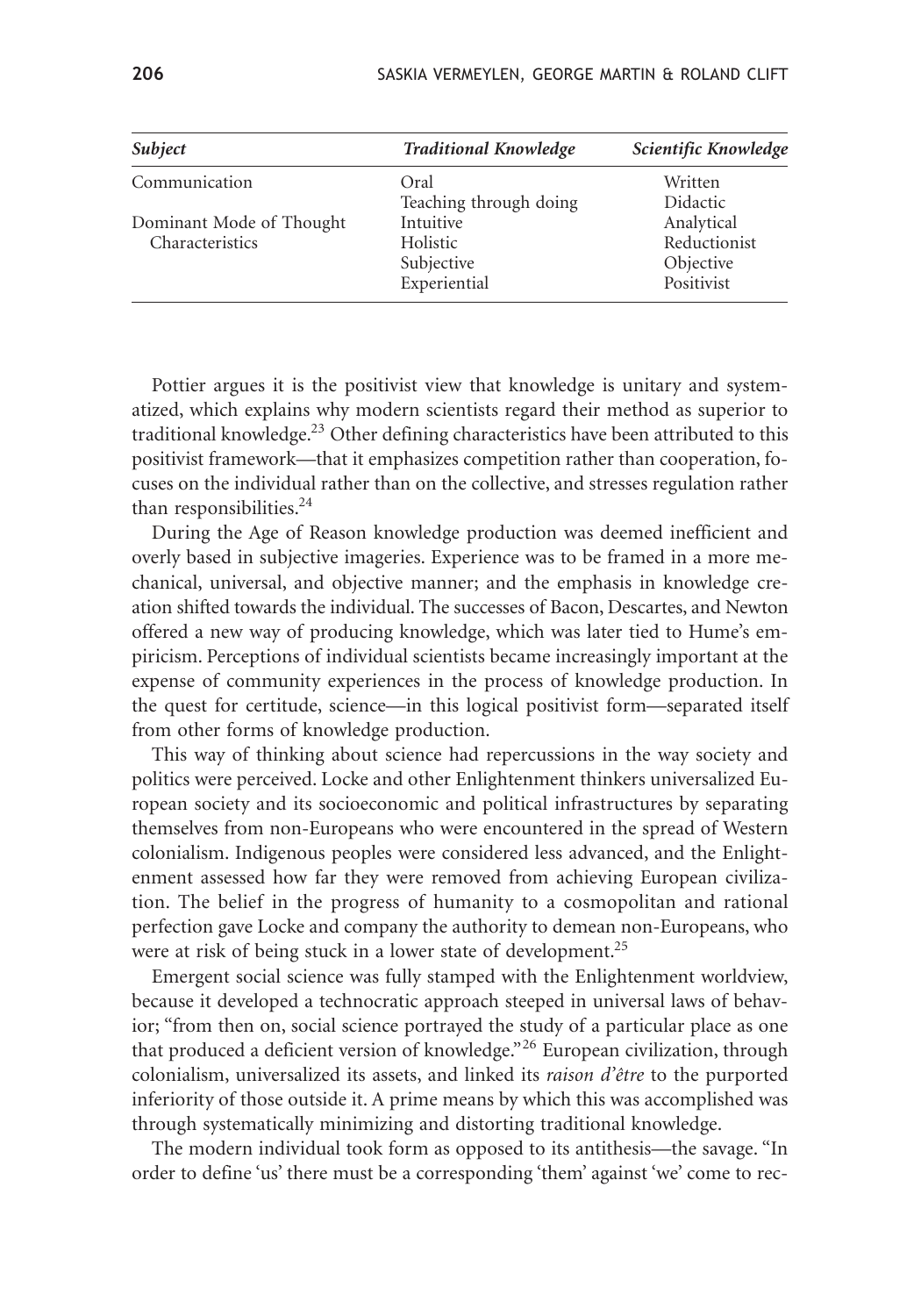| Subject                  | <b>Traditional Knowledge</b> | Scientific Knowledge |
|--------------------------|------------------------------|----------------------|
| Communication            | Oral                         | Written              |
|                          | Teaching through doing       | Didactic             |
| Dominant Mode of Thought | Intuitive                    | Analytical           |
| Characteristics          | Holistic                     | Reductionist         |
|                          | Subjective                   | Objective            |
|                          | Experiential                 | Positivist           |

Pottier argues it is the positivist view that knowledge is unitary and systematized, which explains why modern scientists regard their method as superior to traditional knowledge.<sup>23</sup> Other defining characteristics have been attributed to this positivist framework—that it emphasizes competition rather than cooperation, focuses on the individual rather than on the collective, and stresses regulation rather than responsibilities.<sup>24</sup>

During the Age of Reason knowledge production was deemed inefficient and overly based in subjective imageries. Experience was to be framed in a more mechanical, universal, and objective manner; and the emphasis in knowledge creation shifted towards the individual. The successes of Bacon, Descartes, and Newton offered a new way of producing knowledge, which was later tied to Hume's empiricism. Perceptions of individual scientists became increasingly important at the expense of community experiences in the process of knowledge production. In the quest for certitude, science—in this logical positivist form—separated itself from other forms of knowledge production.

This way of thinking about science had repercussions in the way society and politics were perceived. Locke and other Enlightenment thinkers universalized European society and its socioeconomic and political infrastructures by separating themselves from non-Europeans who were encountered in the spread of Western colonialism. Indigenous peoples were considered less advanced, and the Enlightenment assessed how far they were removed from achieving European civilization. The belief in the progress of humanity to a cosmopolitan and rational perfection gave Locke and company the authority to demean non-Europeans, who were at risk of being stuck in a lower state of development.<sup>25</sup>

Emergent social science was fully stamped with the Enlightenment worldview, because it developed a technocratic approach steeped in universal laws of behavior; "from then on, social science portrayed the study of a particular place as one that produced a deficient version of knowledge."<sup>26</sup> European civilization, through colonialism, universalized its assets, and linked its *raison d'être* to the purported inferiority of those outside it. A prime means by which this was accomplished was through systematically minimizing and distorting traditional knowledge.

The modern individual took form as opposed to its antithesis—the savage. "In order to define 'us' there must be a corresponding 'them' against 'we' come to rec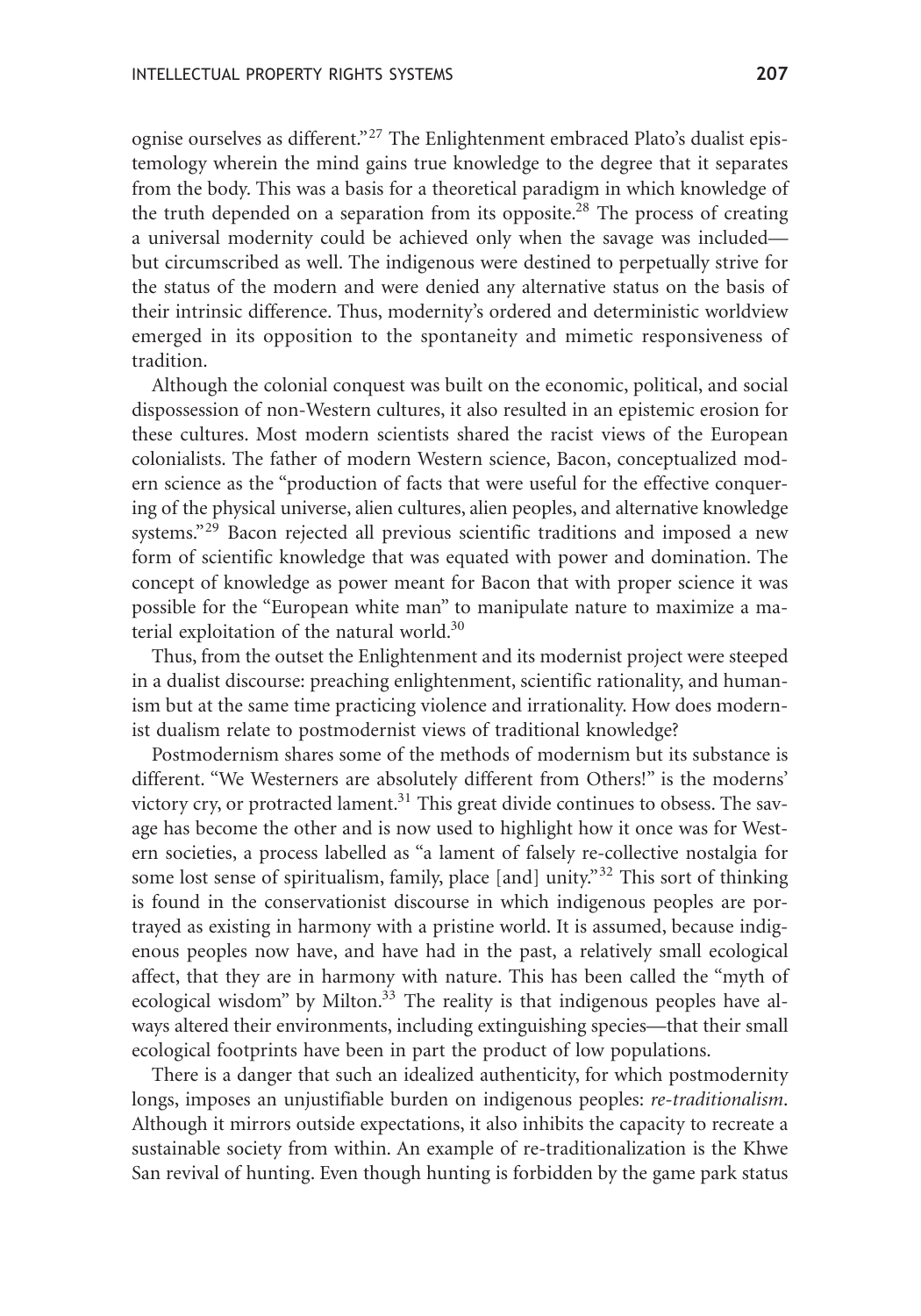ognise ourselves as different."<sup>27</sup> The Enlightenment embraced Plato's dualist epistemology wherein the mind gains true knowledge to the degree that it separates from the body. This was a basis for a theoretical paradigm in which knowledge of the truth depended on a separation from its opposite.<sup>28</sup> The process of creating a universal modernity could be achieved only when the savage was included but circumscribed as well. The indigenous were destined to perpetually strive for the status of the modern and were denied any alternative status on the basis of their intrinsic difference. Thus, modernity's ordered and deterministic worldview emerged in its opposition to the spontaneity and mimetic responsiveness of tradition.

Although the colonial conquest was built on the economic, political, and social dispossession of non-Western cultures, it also resulted in an epistemic erosion for these cultures. Most modern scientists shared the racist views of the European colonialists. The father of modern Western science, Bacon, conceptualized modern science as the "production of facts that were useful for the effective conquering of the physical universe, alien cultures, alien peoples, and alternative knowledge systems."<sup>29</sup> Bacon rejected all previous scientific traditions and imposed a new form of scientific knowledge that was equated with power and domination. The concept of knowledge as power meant for Bacon that with proper science it was possible for the "European white man" to manipulate nature to maximize a material exploitation of the natural world.<sup>30</sup>

Thus, from the outset the Enlightenment and its modernist project were steeped in a dualist discourse: preaching enlightenment, scientific rationality, and humanism but at the same time practicing violence and irrationality. How does modernist dualism relate to postmodernist views of traditional knowledge?

Postmodernism shares some of the methods of modernism but its substance is different. "We Westerners are absolutely different from Others!" is the moderns' victory cry, or protracted lament.<sup>31</sup> This great divide continues to obsess. The savage has become the other and is now used to highlight how it once was for Western societies, a process labelled as "a lament of falsely re-collective nostalgia for some lost sense of spiritualism, family, place [and] unity."<sup>32</sup> This sort of thinking is found in the conservationist discourse in which indigenous peoples are portrayed as existing in harmony with a pristine world. It is assumed, because indigenous peoples now have, and have had in the past, a relatively small ecological affect, that they are in harmony with nature. This has been called the "myth of ecological wisdom" by Milton. $33$  The reality is that indigenous peoples have always altered their environments, including extinguishing species—that their small ecological footprints have been in part the product of low populations.

There is a danger that such an idealized authenticity, for which postmodernity longs, imposes an unjustifiable burden on indigenous peoples: *re-traditionalism*. Although it mirrors outside expectations, it also inhibits the capacity to recreate a sustainable society from within. An example of re-traditionalization is the Khwe San revival of hunting. Even though hunting is forbidden by the game park status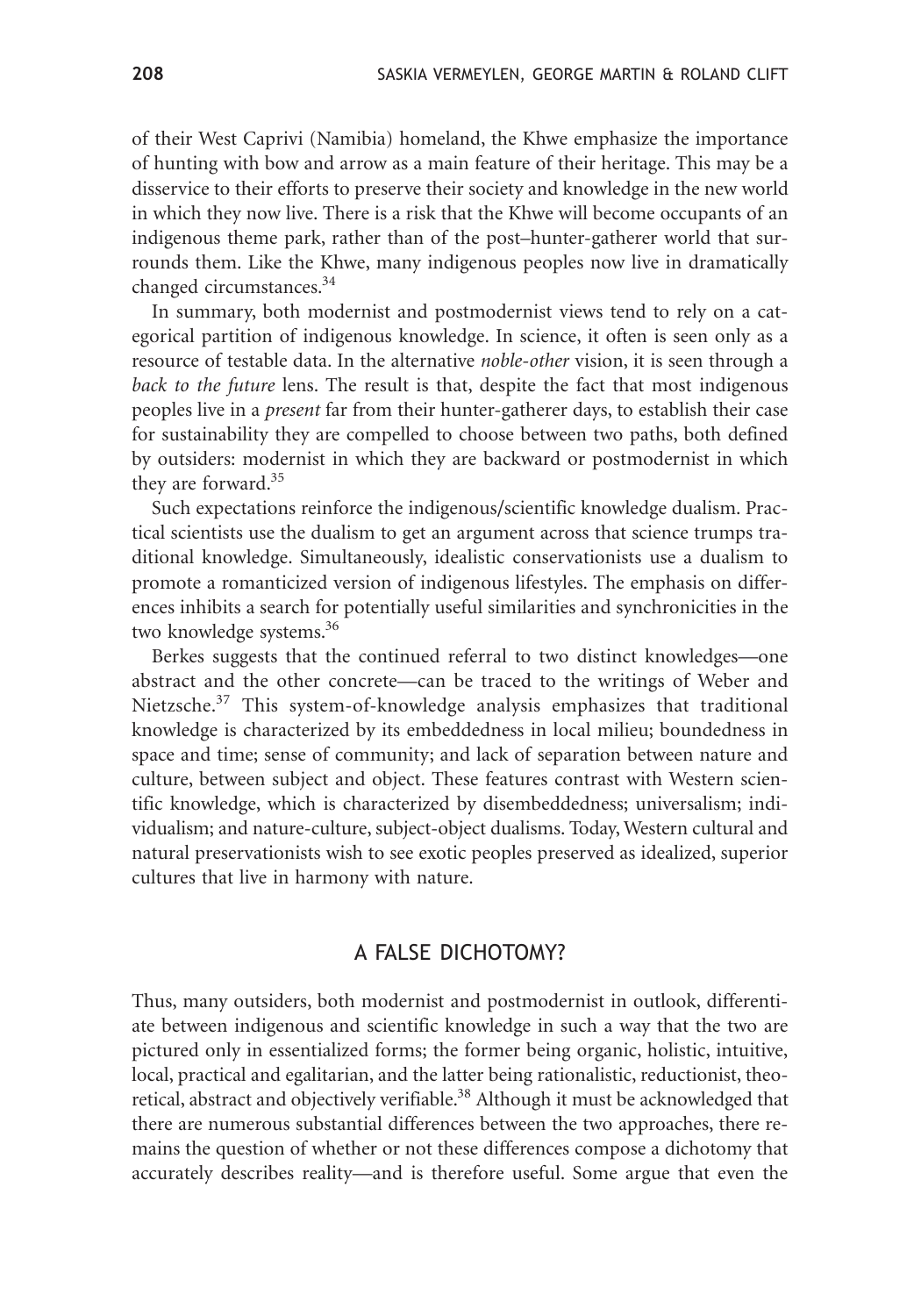of their West Caprivi (Namibia) homeland, the Khwe emphasize the importance of hunting with bow and arrow as a main feature of their heritage. This may be a disservice to their efforts to preserve their society and knowledge in the new world in which they now live. There is a risk that the Khwe will become occupants of an indigenous theme park, rather than of the post–hunter-gatherer world that surrounds them. Like the Khwe, many indigenous peoples now live in dramatically changed circumstances.<sup>34</sup>

In summary, both modernist and postmodernist views tend to rely on a categorical partition of indigenous knowledge. In science, it often is seen only as a resource of testable data. In the alternative *noble-other* vision, it is seen through a *back to the future* lens. The result is that, despite the fact that most indigenous peoples live in a *present* far from their hunter-gatherer days, to establish their case for sustainability they are compelled to choose between two paths, both defined by outsiders: modernist in which they are backward or postmodernist in which they are forward.<sup>35</sup>

Such expectations reinforce the indigenous/scientific knowledge dualism. Practical scientists use the dualism to get an argument across that science trumps traditional knowledge. Simultaneously, idealistic conservationists use a dualism to promote a romanticized version of indigenous lifestyles. The emphasis on differences inhibits a search for potentially useful similarities and synchronicities in the two knowledge systems.<sup>36</sup>

Berkes suggests that the continued referral to two distinct knowledges—one abstract and the other concrete—can be traced to the writings of Weber and Nietzsche.<sup>37</sup> This system-of-knowledge analysis emphasizes that traditional knowledge is characterized by its embeddedness in local milieu; boundedness in space and time; sense of community; and lack of separation between nature and culture, between subject and object. These features contrast with Western scientific knowledge, which is characterized by disembeddedness; universalism; individualism; and nature-culture, subject-object dualisms. Today, Western cultural and natural preservationists wish to see exotic peoples preserved as idealized, superior cultures that live in harmony with nature.

### A FALSE DICHOTOMY?

Thus, many outsiders, both modernist and postmodernist in outlook, differentiate between indigenous and scientific knowledge in such a way that the two are pictured only in essentialized forms; the former being organic, holistic, intuitive, local, practical and egalitarian, and the latter being rationalistic, reductionist, theoretical, abstract and objectively verifiable.<sup>38</sup> Although it must be acknowledged that there are numerous substantial differences between the two approaches, there remains the question of whether or not these differences compose a dichotomy that accurately describes reality—and is therefore useful. Some argue that even the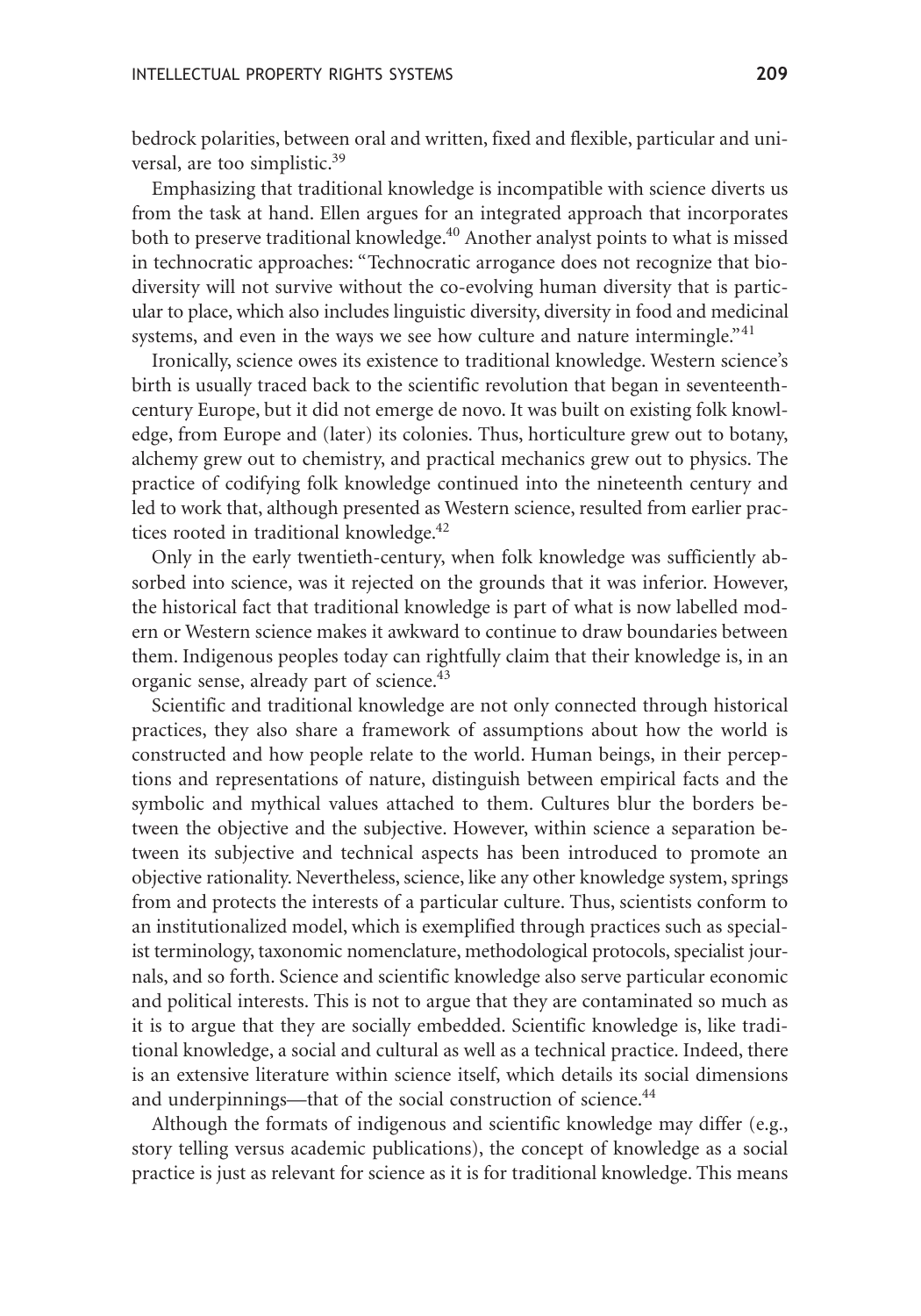bedrock polarities, between oral and written, fixed and flexible, particular and universal, are too simplistic.<sup>39</sup>

Emphasizing that traditional knowledge is incompatible with science diverts us from the task at hand. Ellen argues for an integrated approach that incorporates both to preserve traditional knowledge.<sup>40</sup> Another analyst points to what is missed in technocratic approaches: "Technocratic arrogance does not recognize that biodiversity will not survive without the co-evolving human diversity that is particular to place, which also includes linguistic diversity, diversity in food and medicinal systems, and even in the ways we see how culture and nature intermingle.<sup>"41</sup>

Ironically, science owes its existence to traditional knowledge. Western science's birth is usually traced back to the scientific revolution that began in seventeenthcentury Europe, but it did not emerge de novo. It was built on existing folk knowledge, from Europe and (later) its colonies. Thus, horticulture grew out to botany, alchemy grew out to chemistry, and practical mechanics grew out to physics. The practice of codifying folk knowledge continued into the nineteenth century and led to work that, although presented as Western science, resulted from earlier practices rooted in traditional knowledge. $42$ 

Only in the early twentieth-century, when folk knowledge was sufficiently absorbed into science, was it rejected on the grounds that it was inferior. However, the historical fact that traditional knowledge is part of what is now labelled modern or Western science makes it awkward to continue to draw boundaries between them. Indigenous peoples today can rightfully claim that their knowledge is, in an organic sense, already part of science.<sup>43</sup>

Scientific and traditional knowledge are not only connected through historical practices, they also share a framework of assumptions about how the world is constructed and how people relate to the world. Human beings, in their perceptions and representations of nature, distinguish between empirical facts and the symbolic and mythical values attached to them. Cultures blur the borders between the objective and the subjective. However, within science a separation between its subjective and technical aspects has been introduced to promote an objective rationality. Nevertheless, science, like any other knowledge system, springs from and protects the interests of a particular culture. Thus, scientists conform to an institutionalized model, which is exemplified through practices such as specialist terminology, taxonomic nomenclature, methodological protocols, specialist journals, and so forth. Science and scientific knowledge also serve particular economic and political interests. This is not to argue that they are contaminated so much as it is to argue that they are socially embedded. Scientific knowledge is, like traditional knowledge, a social and cultural as well as a technical practice. Indeed, there is an extensive literature within science itself, which details its social dimensions and underpinnings—that of the social construction of science.<sup>44</sup>

Although the formats of indigenous and scientific knowledge may differ (e.g., story telling versus academic publications), the concept of knowledge as a social practice is just as relevant for science as it is for traditional knowledge. This means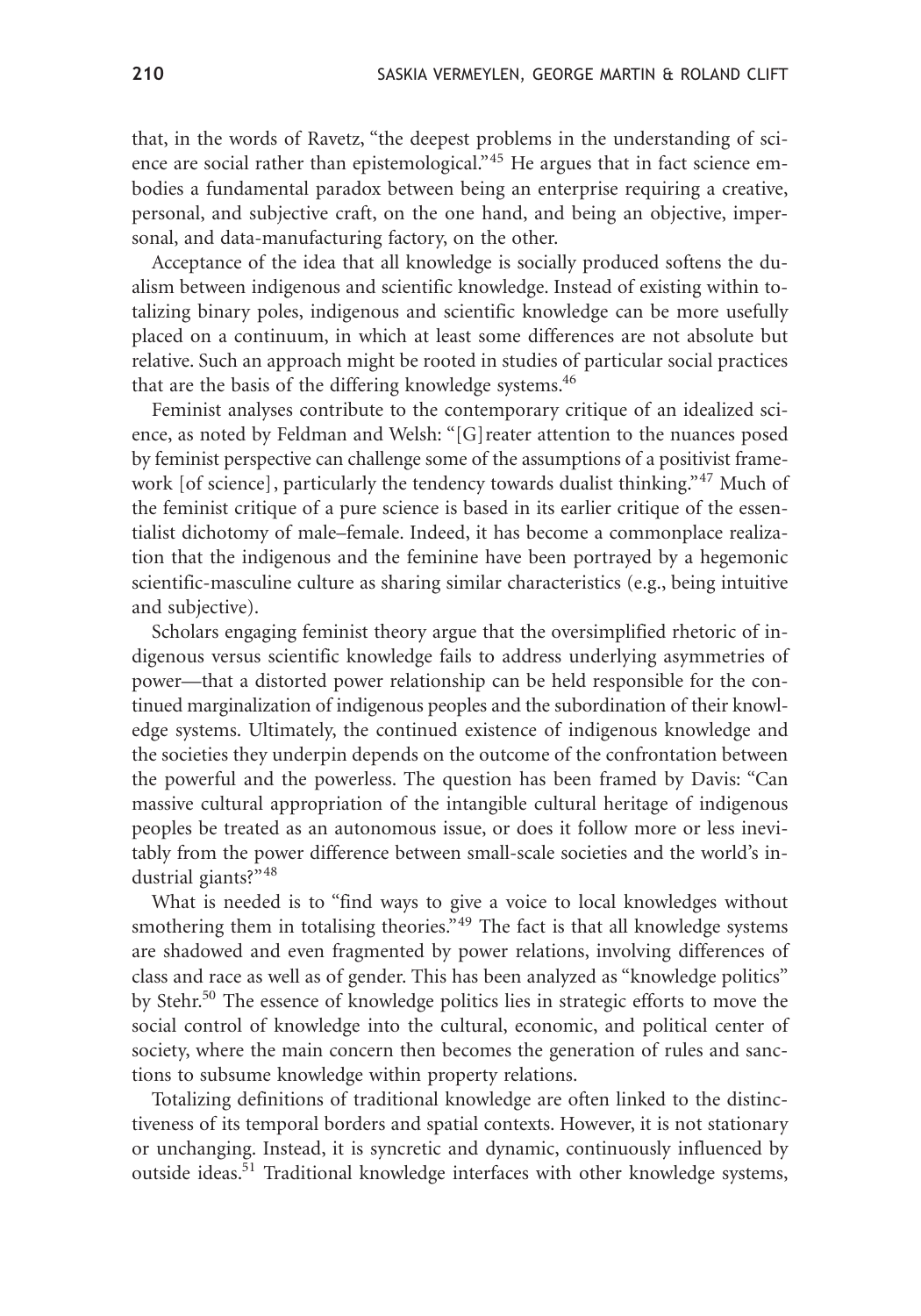that, in the words of Ravetz, "the deepest problems in the understanding of science are social rather than epistemological."<sup>45</sup> He argues that in fact science embodies a fundamental paradox between being an enterprise requiring a creative, personal, and subjective craft, on the one hand, and being an objective, impersonal, and data-manufacturing factory, on the other.

Acceptance of the idea that all knowledge is socially produced softens the dualism between indigenous and scientific knowledge. Instead of existing within totalizing binary poles, indigenous and scientific knowledge can be more usefully placed on a continuum, in which at least some differences are not absolute but relative. Such an approach might be rooted in studies of particular social practices that are the basis of the differing knowledge systems.<sup>46</sup>

Feminist analyses contribute to the contemporary critique of an idealized science, as noted by Feldman and Welsh: "[G]reater attention to the nuances posed by feminist perspective can challenge some of the assumptions of a positivist framework [of science], particularly the tendency towards dualist thinking."<sup>47</sup> Much of the feminist critique of a pure science is based in its earlier critique of the essentialist dichotomy of male–female. Indeed, it has become a commonplace realization that the indigenous and the feminine have been portrayed by a hegemonic scientific-masculine culture as sharing similar characteristics (e.g., being intuitive and subjective).

Scholars engaging feminist theory argue that the oversimplified rhetoric of indigenous versus scientific knowledge fails to address underlying asymmetries of power—that a distorted power relationship can be held responsible for the continued marginalization of indigenous peoples and the subordination of their knowledge systems. Ultimately, the continued existence of indigenous knowledge and the societies they underpin depends on the outcome of the confrontation between the powerful and the powerless. The question has been framed by Davis: "Can massive cultural appropriation of the intangible cultural heritage of indigenous peoples be treated as an autonomous issue, or does it follow more or less inevitably from the power difference between small-scale societies and the world's industrial giants?"<sup>48</sup>

What is needed is to "find ways to give a voice to local knowledges without smothering them in totalising theories."<sup>49</sup> The fact is that all knowledge systems are shadowed and even fragmented by power relations, involving differences of class and race as well as of gender. This has been analyzed as "knowledge politics" by Stehr.<sup>50</sup> The essence of knowledge politics lies in strategic efforts to move the social control of knowledge into the cultural, economic, and political center of society, where the main concern then becomes the generation of rules and sanctions to subsume knowledge within property relations.

Totalizing definitions of traditional knowledge are often linked to the distinctiveness of its temporal borders and spatial contexts. However, it is not stationary or unchanging. Instead, it is syncretic and dynamic, continuously influenced by outside ideas.<sup>51</sup> Traditional knowledge interfaces with other knowledge systems,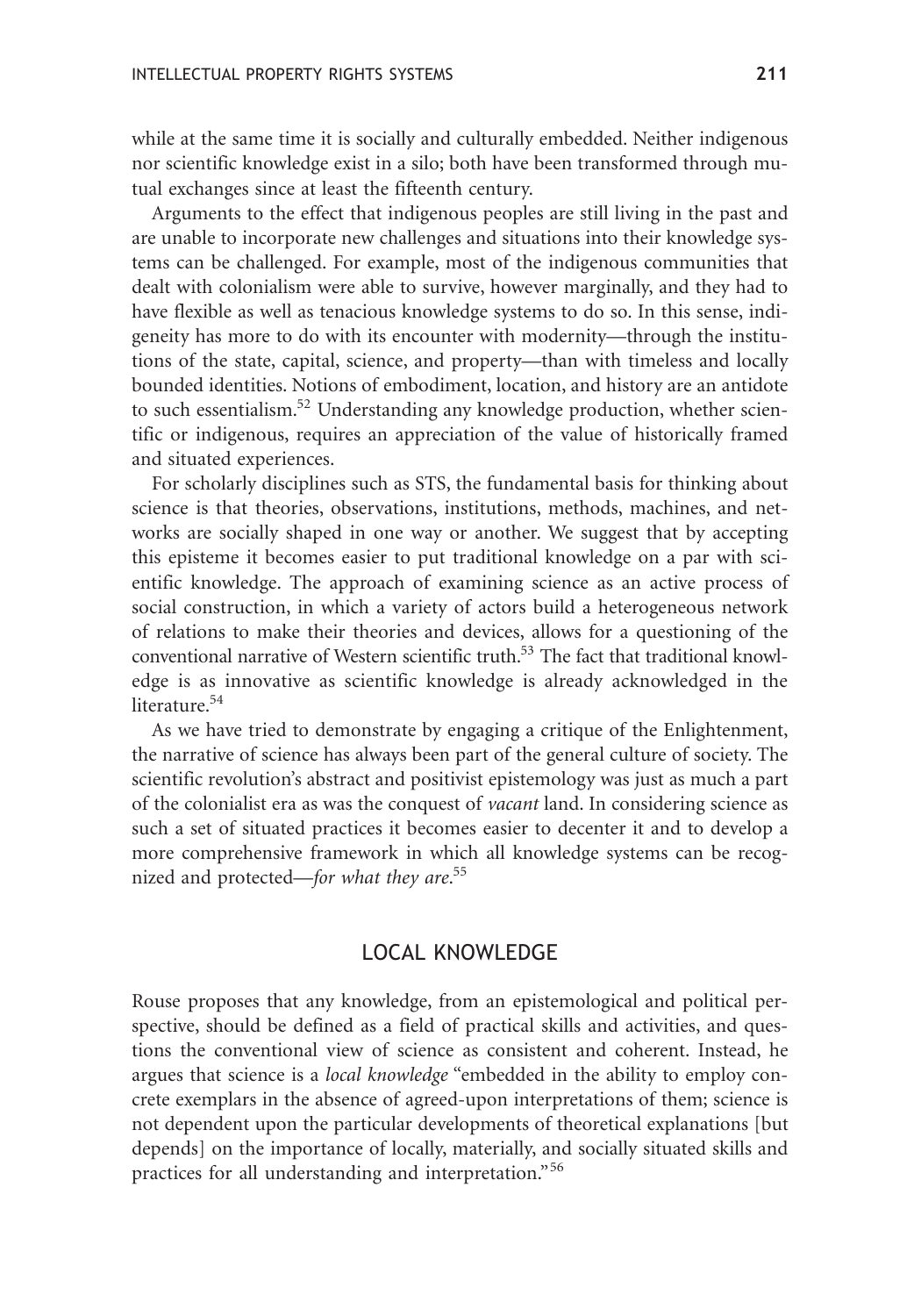while at the same time it is socially and culturally embedded. Neither indigenous nor scientific knowledge exist in a silo; both have been transformed through mutual exchanges since at least the fifteenth century.

Arguments to the effect that indigenous peoples are still living in the past and are unable to incorporate new challenges and situations into their knowledge systems can be challenged. For example, most of the indigenous communities that dealt with colonialism were able to survive, however marginally, and they had to have flexible as well as tenacious knowledge systems to do so. In this sense, indigeneity has more to do with its encounter with modernity—through the institutions of the state, capital, science, and property—than with timeless and locally bounded identities. Notions of embodiment, location, and history are an antidote to such essentialism.<sup>52</sup> Understanding any knowledge production, whether scientific or indigenous, requires an appreciation of the value of historically framed and situated experiences.

For scholarly disciplines such as STS, the fundamental basis for thinking about science is that theories, observations, institutions, methods, machines, and networks are socially shaped in one way or another. We suggest that by accepting this episteme it becomes easier to put traditional knowledge on a par with scientific knowledge. The approach of examining science as an active process of social construction, in which a variety of actors build a heterogeneous network of relations to make their theories and devices, allows for a questioning of the conventional narrative of Western scientific truth.<sup>53</sup> The fact that traditional knowledge is as innovative as scientific knowledge is already acknowledged in the literature.<sup>54</sup>

As we have tried to demonstrate by engaging a critique of the Enlightenment, the narrative of science has always been part of the general culture of society. The scientific revolution's abstract and positivist epistemology was just as much a part of the colonialist era as was the conquest of *vacant* land. In considering science as such a set of situated practices it becomes easier to decenter it and to develop a more comprehensive framework in which all knowledge systems can be recognized and protected—*for what they are*. 55

### LOCAL KNOWLEDGE

Rouse proposes that any knowledge, from an epistemological and political perspective, should be defined as a field of practical skills and activities, and questions the conventional view of science as consistent and coherent. Instead, he argues that science is a *local knowledge* "embedded in the ability to employ concrete exemplars in the absence of agreed-upon interpretations of them; science is not dependent upon the particular developments of theoretical explanations [but depends] on the importance of locally, materially, and socially situated skills and practices for all understanding and interpretation."<sup>56</sup>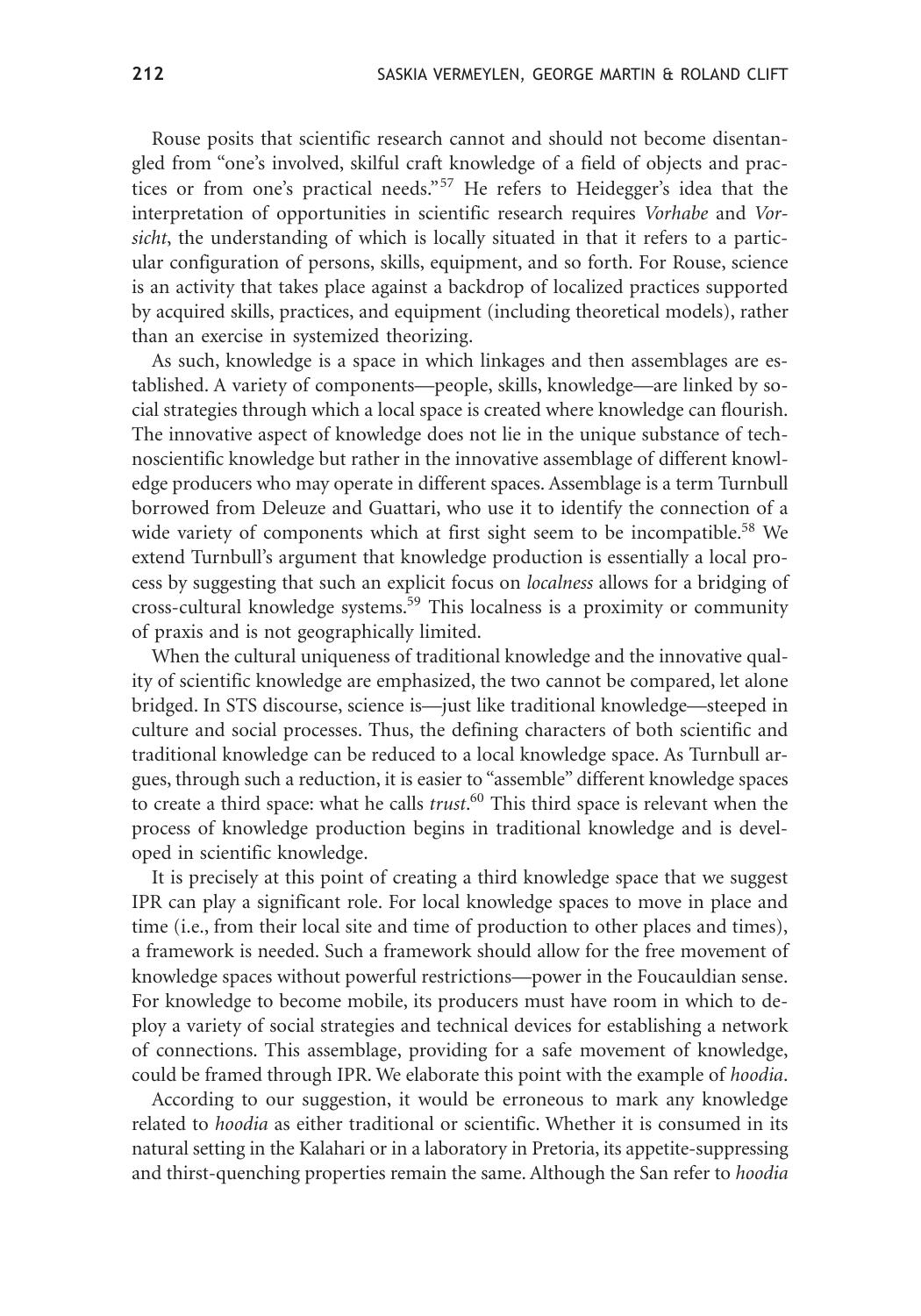Rouse posits that scientific research cannot and should not become disentangled from "one's involved, skilful craft knowledge of a field of objects and practices or from one's practical needs."<sup>57</sup> He refers to Heidegger's idea that the interpretation of opportunities in scientific research requires *Vorhabe* and *Vorsicht*, the understanding of which is locally situated in that it refers to a particular configuration of persons, skills, equipment, and so forth. For Rouse, science is an activity that takes place against a backdrop of localized practices supported by acquired skills, practices, and equipment (including theoretical models), rather than an exercise in systemized theorizing.

As such, knowledge is a space in which linkages and then assemblages are established. A variety of components—people, skills, knowledge—are linked by social strategies through which a local space is created where knowledge can flourish. The innovative aspect of knowledge does not lie in the unique substance of technoscientific knowledge but rather in the innovative assemblage of different knowledge producers who may operate in different spaces. Assemblage is a term Turnbull borrowed from Deleuze and Guattari, who use it to identify the connection of a wide variety of components which at first sight seem to be incompatible.<sup>58</sup> We extend Turnbull's argument that knowledge production is essentially a local process by suggesting that such an explicit focus on *localness* allows for a bridging of cross-cultural knowledge systems.59 This localness is a proximity or community of praxis and is not geographically limited.

When the cultural uniqueness of traditional knowledge and the innovative quality of scientific knowledge are emphasized, the two cannot be compared, let alone bridged. In STS discourse, science is—just like traditional knowledge—steeped in culture and social processes. Thus, the defining characters of both scientific and traditional knowledge can be reduced to a local knowledge space. As Turnbull argues, through such a reduction, it is easier to "assemble" different knowledge spaces to create a third space: what he calls *trust*. <sup>60</sup> This third space is relevant when the process of knowledge production begins in traditional knowledge and is developed in scientific knowledge.

It is precisely at this point of creating a third knowledge space that we suggest IPR can play a significant role. For local knowledge spaces to move in place and time (i.e., from their local site and time of production to other places and times), a framework is needed. Such a framework should allow for the free movement of knowledge spaces without powerful restrictions—power in the Foucauldian sense. For knowledge to become mobile, its producers must have room in which to deploy a variety of social strategies and technical devices for establishing a network of connections. This assemblage, providing for a safe movement of knowledge, could be framed through IPR. We elaborate this point with the example of *hoodia*.

According to our suggestion, it would be erroneous to mark any knowledge related to *hoodia* as either traditional or scientific. Whether it is consumed in its natural setting in the Kalahari or in a laboratory in Pretoria, its appetite-suppressing and thirst-quenching properties remain the same. Although the San refer to *hoodia*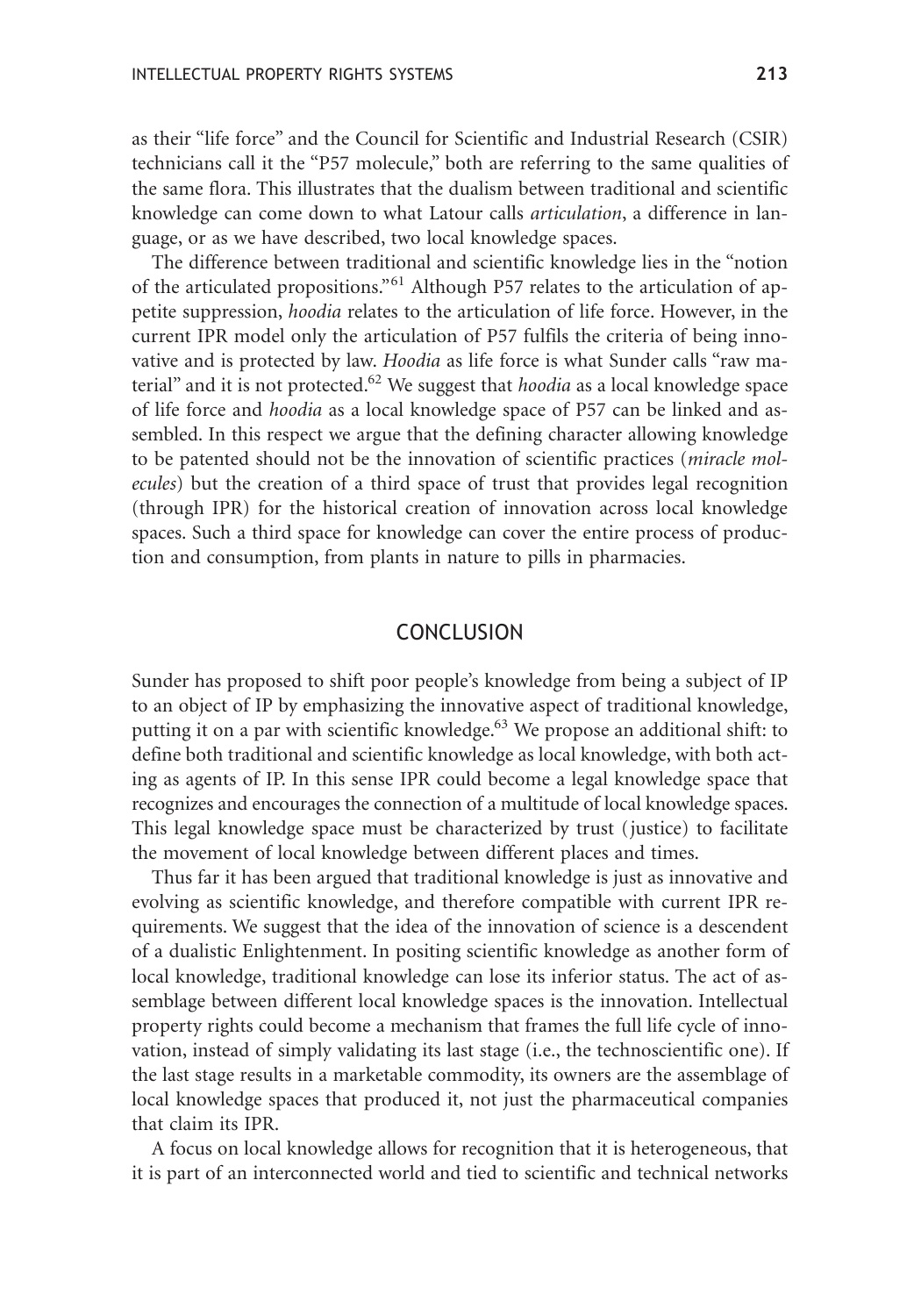as their "life force" and the Council for Scientific and Industrial Research (CSIR) technicians call it the "P57 molecule," both are referring to the same qualities of the same flora. This illustrates that the dualism between traditional and scientific knowledge can come down to what Latour calls *articulation*, a difference in language, or as we have described, two local knowledge spaces.

The difference between traditional and scientific knowledge lies in the "notion of the articulated propositions."<sup>61</sup> Although P57 relates to the articulation of appetite suppression, *hoodia* relates to the articulation of life force. However, in the current IPR model only the articulation of P57 fulfils the criteria of being innovative and is protected by law. *Hoodia* as life force is what Sunder calls "raw material" and it is not protected.<sup>62</sup> We suggest that *hoodia* as a local knowledge space of life force and *hoodia* as a local knowledge space of P57 can be linked and assembled. In this respect we argue that the defining character allowing knowledge to be patented should not be the innovation of scientific practices (*miracle molecules*) but the creation of a third space of trust that provides legal recognition (through IPR) for the historical creation of innovation across local knowledge spaces. Such a third space for knowledge can cover the entire process of production and consumption, from plants in nature to pills in pharmacies.

#### CONCLUSION

Sunder has proposed to shift poor people's knowledge from being a subject of IP to an object of IP by emphasizing the innovative aspect of traditional knowledge, putting it on a par with scientific knowledge.<sup>63</sup> We propose an additional shift: to define both traditional and scientific knowledge as local knowledge, with both acting as agents of IP. In this sense IPR could become a legal knowledge space that recognizes and encourages the connection of a multitude of local knowledge spaces. This legal knowledge space must be characterized by trust (justice) to facilitate the movement of local knowledge between different places and times.

Thus far it has been argued that traditional knowledge is just as innovative and evolving as scientific knowledge, and therefore compatible with current IPR requirements. We suggest that the idea of the innovation of science is a descendent of a dualistic Enlightenment. In positing scientific knowledge as another form of local knowledge, traditional knowledge can lose its inferior status. The act of assemblage between different local knowledge spaces is the innovation. Intellectual property rights could become a mechanism that frames the full life cycle of innovation, instead of simply validating its last stage (i.e., the technoscientific one). If the last stage results in a marketable commodity, its owners are the assemblage of local knowledge spaces that produced it, not just the pharmaceutical companies that claim its IPR.

A focus on local knowledge allows for recognition that it is heterogeneous, that it is part of an interconnected world and tied to scientific and technical networks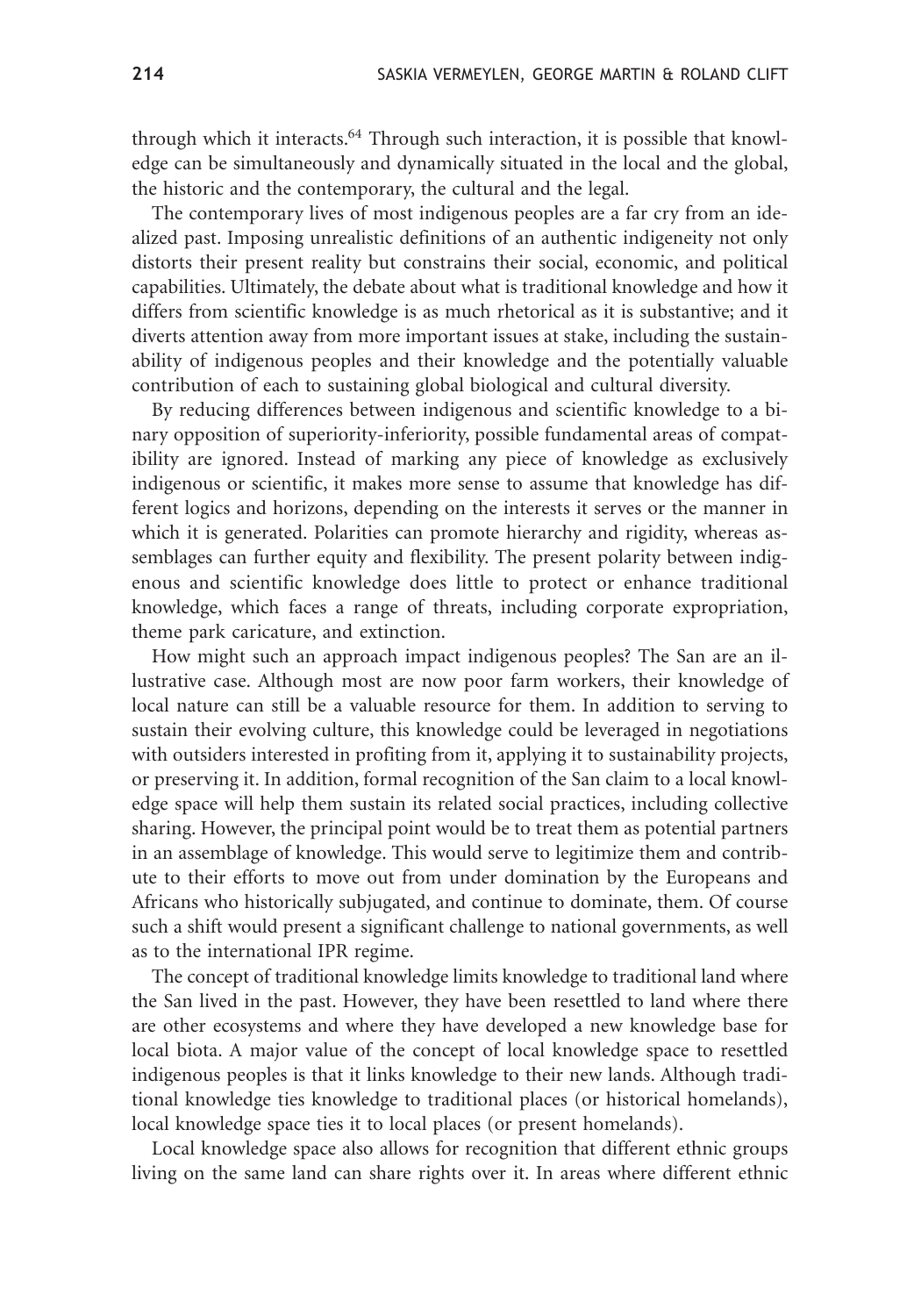through which it interacts. $64$  Through such interaction, it is possible that knowledge can be simultaneously and dynamically situated in the local and the global, the historic and the contemporary, the cultural and the legal.

The contemporary lives of most indigenous peoples are a far cry from an idealized past. Imposing unrealistic definitions of an authentic indigeneity not only distorts their present reality but constrains their social, economic, and political capabilities. Ultimately, the debate about what is traditional knowledge and how it differs from scientific knowledge is as much rhetorical as it is substantive; and it diverts attention away from more important issues at stake, including the sustainability of indigenous peoples and their knowledge and the potentially valuable contribution of each to sustaining global biological and cultural diversity.

By reducing differences between indigenous and scientific knowledge to a binary opposition of superiority-inferiority, possible fundamental areas of compatibility are ignored. Instead of marking any piece of knowledge as exclusively indigenous or scientific, it makes more sense to assume that knowledge has different logics and horizons, depending on the interests it serves or the manner in which it is generated. Polarities can promote hierarchy and rigidity, whereas assemblages can further equity and flexibility. The present polarity between indigenous and scientific knowledge does little to protect or enhance traditional knowledge, which faces a range of threats, including corporate expropriation, theme park caricature, and extinction.

How might such an approach impact indigenous peoples? The San are an illustrative case. Although most are now poor farm workers, their knowledge of local nature can still be a valuable resource for them. In addition to serving to sustain their evolving culture, this knowledge could be leveraged in negotiations with outsiders interested in profiting from it, applying it to sustainability projects, or preserving it. In addition, formal recognition of the San claim to a local knowledge space will help them sustain its related social practices, including collective sharing. However, the principal point would be to treat them as potential partners in an assemblage of knowledge. This would serve to legitimize them and contribute to their efforts to move out from under domination by the Europeans and Africans who historically subjugated, and continue to dominate, them. Of course such a shift would present a significant challenge to national governments, as well as to the international IPR regime.

The concept of traditional knowledge limits knowledge to traditional land where the San lived in the past. However, they have been resettled to land where there are other ecosystems and where they have developed a new knowledge base for local biota. A major value of the concept of local knowledge space to resettled indigenous peoples is that it links knowledge to their new lands. Although traditional knowledge ties knowledge to traditional places (or historical homelands), local knowledge space ties it to local places (or present homelands).

Local knowledge space also allows for recognition that different ethnic groups living on the same land can share rights over it. In areas where different ethnic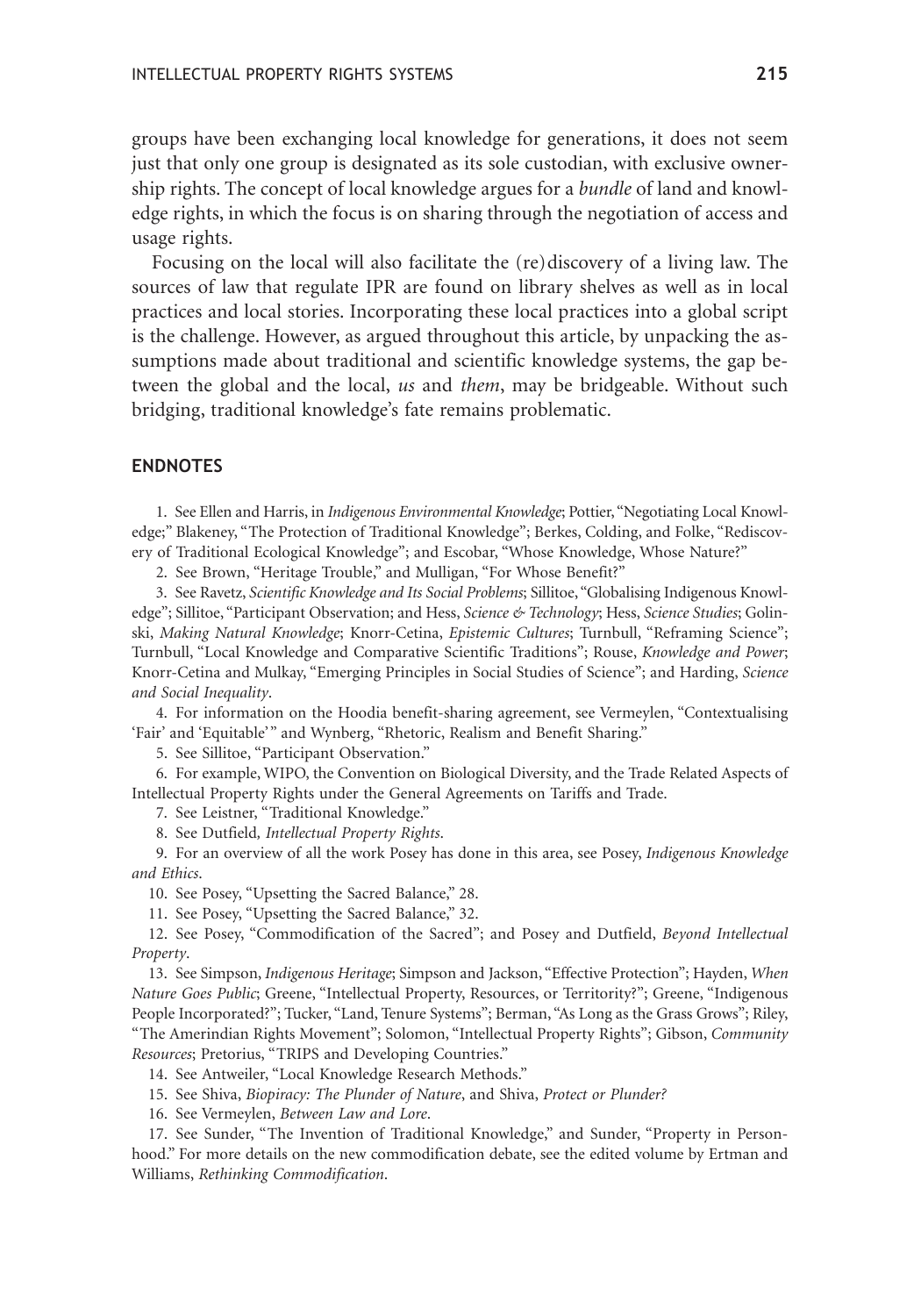groups have been exchanging local knowledge for generations, it does not seem just that only one group is designated as its sole custodian, with exclusive ownership rights. The concept of local knowledge argues for a *bundle* of land and knowledge rights, in which the focus is on sharing through the negotiation of access and usage rights.

Focusing on the local will also facilitate the (re)discovery of a living law. The sources of law that regulate IPR are found on library shelves as well as in local practices and local stories. Incorporating these local practices into a global script is the challenge. However, as argued throughout this article, by unpacking the assumptions made about traditional and scientific knowledge systems, the gap between the global and the local, *us* and *them*, may be bridgeable. Without such bridging, traditional knowledge's fate remains problematic.

#### **ENDNOTES**

1. See Ellen and Harris, in *Indigenous Environmental Knowledge*; Pottier, "Negotiating Local Knowledge;" Blakeney, "The Protection of Traditional Knowledge"; Berkes, Colding, and Folke, "Rediscovery of Traditional Ecological Knowledge"; and Escobar, "Whose Knowledge, Whose Nature?"

2. See Brown, "Heritage Trouble," and Mulligan, "For Whose Benefit?"

3. See Ravetz, *Scientific Knowledge and Its Social Problems*; Sillitoe, "Globalising Indigenous Knowledge"; Sillitoe, "Participant Observation; and Hess, *Science & Technology*; Hess, *Science Studies*; Golinski, *Making Natural Knowledge*; Knorr-Cetina, *Epistemic Cultures*; Turnbull, "Reframing Science"; Turnbull, "Local Knowledge and Comparative Scientific Traditions"; Rouse, *Knowledge and Power*; Knorr-Cetina and Mulkay, "Emerging Principles in Social Studies of Science"; and Harding, *Science and Social Inequality*.

4. For information on the Hoodia benefit-sharing agreement, see Vermeylen, "Contextualising 'Fair' and 'Equitable'" and Wynberg, "Rhetoric, Realism and Benefit Sharing."

5. See Sillitoe, "Participant Observation."

6. For example, WIPO, the Convention on Biological Diversity, and the Trade Related Aspects of Intellectual Property Rights under the General Agreements on Tariffs and Trade.

7. See Leistner, "Traditional Knowledge."

8. See Dutfield*, Intellectual Property Rights*.

9. For an overview of all the work Posey has done in this area, see Posey, *Indigenous Knowledge and Ethics*.

10. See Posey, "Upsetting the Sacred Balance," 28.

11. See Posey, "Upsetting the Sacred Balance," 32.

12. See Posey, "Commodification of the Sacred"; and Posey and Dutfield, *Beyond Intellectual Property*.

13. See Simpson, *Indigenous Heritage*; Simpson and Jackson, "Effective Protection"; Hayden, *When Nature Goes Public*; Greene, "Intellectual Property, Resources, or Territority?"; Greene, "Indigenous People Incorporated?"; Tucker, "Land, Tenure Systems"; Berman, "As Long as the Grass Grows"; Riley, "The Amerindian Rights Movement"; Solomon, "Intellectual Property Rights"; Gibson, *Community Resources*; Pretorius, "TRIPS and Developing Countries."

14. See Antweiler, "Local Knowledge Research Methods."

15. See Shiva, *Biopiracy: The Plunder of Nature*, and Shiva, *Protect or Plunder?*

16. See Vermeylen, *Between Law and Lore*.

17. See Sunder, "The Invention of Traditional Knowledge," and Sunder, "Property in Personhood." For more details on the new commodification debate, see the edited volume by Ertman and Williams, *Rethinking Commodification*.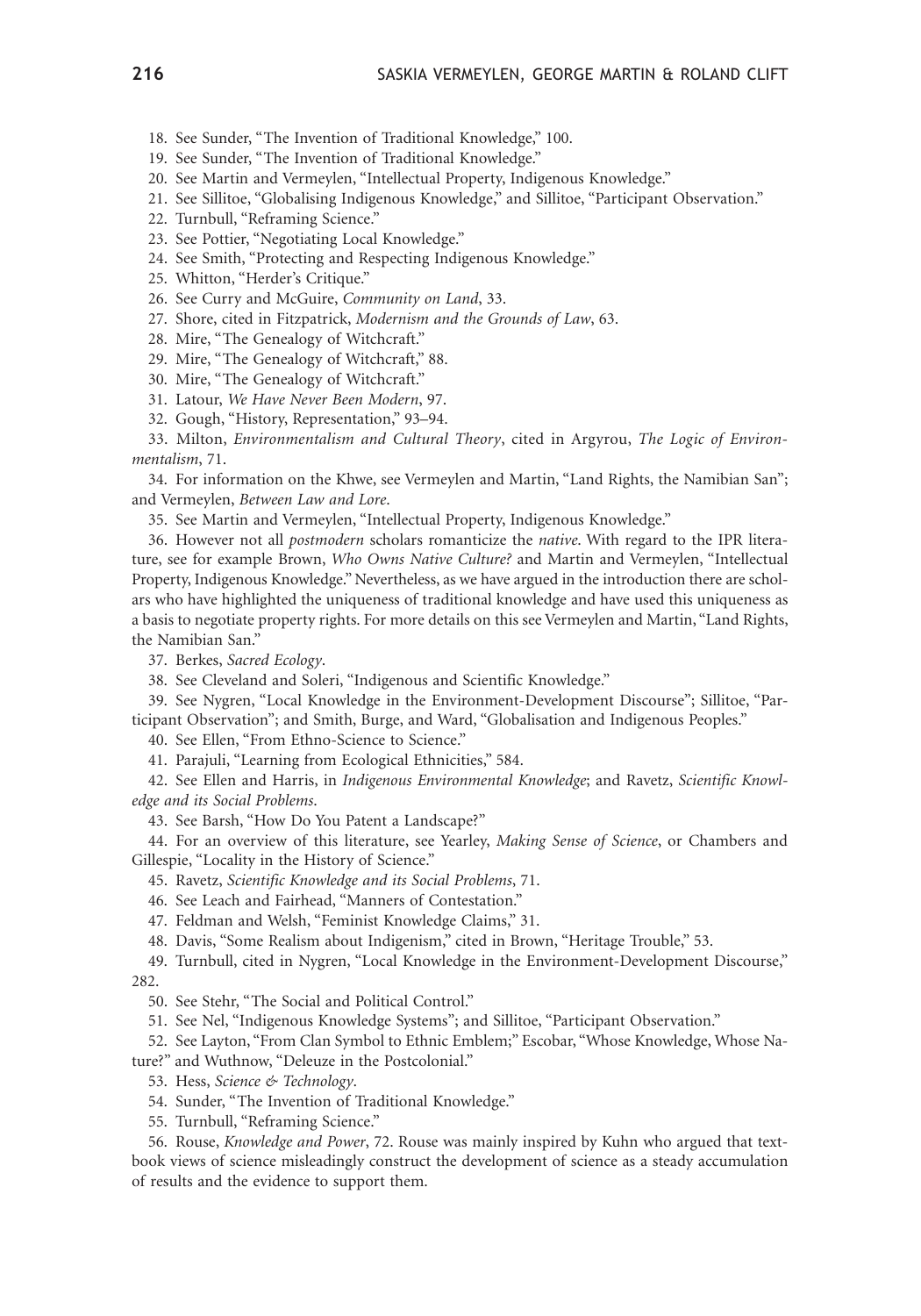18. See Sunder, "The Invention of Traditional Knowledge," 100.

19. See Sunder, "The Invention of Traditional Knowledge."

20. See Martin and Vermeylen, "Intellectual Property, Indigenous Knowledge."

21. See Sillitoe, "Globalising Indigenous Knowledge," and Sillitoe, "Participant Observation."

22. Turnbull, "Reframing Science."

23. See Pottier, "Negotiating Local Knowledge."

24. See Smith, "Protecting and Respecting Indigenous Knowledge."

25. Whitton, "Herder's Critique."

26. See Curry and McGuire, *Community on Land*, 33.

27. Shore, cited in Fitzpatrick, *Modernism and the Grounds of Law*, 63.

28. Mire, "The Genealogy of Witchcraft."

29. Mire, "The Genealogy of Witchcraft," 88.

30. Mire, "The Genealogy of Witchcraft."

31. Latour, *We Have Never Been Modern*, 97.

32. Gough, "History, Representation," 93–94.

33. Milton, *Environmentalism and Cultural Theory*, cited in Argyrou, *The Logic of Environmentalism*, 71.

34. For information on the Khwe, see Vermeylen and Martin, "Land Rights, the Namibian San"; and Vermeylen, *Between Law and Lore*.

35. See Martin and Vermeylen, "Intellectual Property, Indigenous Knowledge."

36. However not all *postmodern* scholars romanticize the *native*. With regard to the IPR literature, see for example Brown, *Who Owns Native Culture?* and Martin and Vermeylen, "Intellectual Property, Indigenous Knowledge." Nevertheless, as we have argued in the introduction there are scholars who have highlighted the uniqueness of traditional knowledge and have used this uniqueness as a basis to negotiate property rights. For more details on this see Vermeylen and Martin, "Land Rights, the Namibian San."

37. Berkes, *Sacred Ecology*.

38. See Cleveland and Soleri, "Indigenous and Scientific Knowledge."

39. See Nygren, "Local Knowledge in the Environment-Development Discourse"; Sillitoe, "Participant Observation"; and Smith, Burge, and Ward, "Globalisation and Indigenous Peoples."

40. See Ellen, "From Ethno-Science to Science."

41. Parajuli, "Learning from Ecological Ethnicities," 584.

42. See Ellen and Harris, in *Indigenous Environmental Knowledge*; and Ravetz, *Scientific Knowledge and its Social Problems*.

43. See Barsh, "How Do You Patent a Landscape?"

44. For an overview of this literature, see Yearley, *Making Sense of Science*, or Chambers and Gillespie, "Locality in the History of Science."

45. Ravetz, *Scientific Knowledge and its Social Problems*, 71.

46. See Leach and Fairhead, "Manners of Contestation."

47. Feldman and Welsh, "Feminist Knowledge Claims," 31.

48. Davis, "Some Realism about Indigenism," cited in Brown, "Heritage Trouble," 53.

49. Turnbull, cited in Nygren, "Local Knowledge in the Environment-Development Discourse," 282.

50. See Stehr, "The Social and Political Control."

51. See Nel, "Indigenous Knowledge Systems"; and Sillitoe, "Participant Observation."

52. See Layton, "From Clan Symbol to Ethnic Emblem;" Escobar, "Whose Knowledge, Whose Nature?" and Wuthnow, "Deleuze in the Postcolonial."

53. Hess, *Science & Technology*.

54. Sunder, "The Invention of Traditional Knowledge."

55. Turnbull, "Reframing Science."

56. Rouse, *Knowledge and Power*, 72. Rouse was mainly inspired by Kuhn who argued that textbook views of science misleadingly construct the development of science as a steady accumulation of results and the evidence to support them.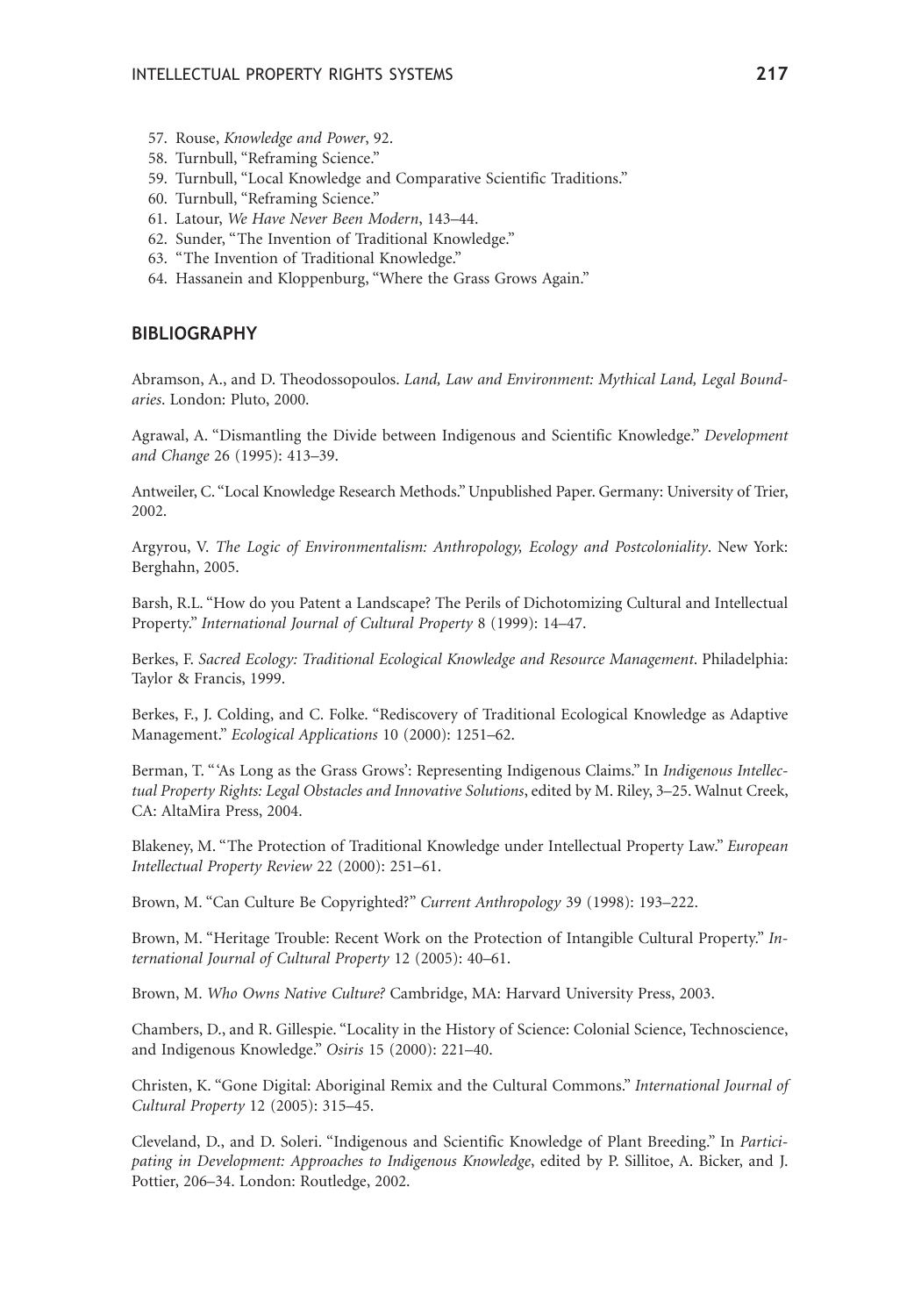- 57. Rouse, *Knowledge and Power*, 92.
- 58. Turnbull, "Reframing Science."
- 59. Turnbull, "Local Knowledge and Comparative Scientific Traditions."
- 60. Turnbull, "Reframing Science."
- 61. Latour, *We Have Never Been Modern*, 143–44.
- 62. Sunder, "The Invention of Traditional Knowledge."
- 63. "The Invention of Traditional Knowledge."
- 64. Hassanein and Kloppenburg, "Where the Grass Grows Again."

#### **BIBLIOGRAPHY**

Abramson, A., and D. Theodossopoulos. *Land, Law and Environment: Mythical Land, Legal Boundaries*. London: Pluto, 2000.

Agrawal, A. "Dismantling the Divide between Indigenous and Scientific Knowledge." *Development and Change* 26 (1995): 413–39.

Antweiler, C. "Local Knowledge Research Methods." Unpublished Paper. Germany: University of Trier, 2002.

Argyrou, V. *The Logic of Environmentalism: Anthropology, Ecology and Postcoloniality*. New York: Berghahn, 2005.

Barsh, R.L. "How do you Patent a Landscape? The Perils of Dichotomizing Cultural and Intellectual Property." *International Journal of Cultural Property* 8 (1999): 14–47.

Berkes, F. *Sacred Ecology: Traditional Ecological Knowledge and Resource Management*. Philadelphia: Taylor & Francis, 1999.

Berkes, F., J. Colding, and C. Folke. "Rediscovery of Traditional Ecological Knowledge as Adaptive Management." *Ecological Applications* 10 (2000): 1251–62.

Berman, T. "'As Long as the Grass Grows': Representing Indigenous Claims." In *Indigenous Intellectual Property Rights: Legal Obstacles and Innovative Solutions*, edited by M. Riley, 3–25. Walnut Creek, CA: AltaMira Press, 2004.

Blakeney, M. "The Protection of Traditional Knowledge under Intellectual Property Law." *European Intellectual Property Review* 22 (2000): 251–61.

Brown, M. "Can Culture Be Copyrighted?" *Current Anthropology* 39 (1998): 193–222.

Brown, M. "Heritage Trouble: Recent Work on the Protection of Intangible Cultural Property." *International Journal of Cultural Property* 12 (2005): 40–61.

Brown, M. *Who Owns Native Culture?* Cambridge, MA: Harvard University Press, 2003.

Chambers, D., and R. Gillespie. "Locality in the History of Science: Colonial Science, Technoscience, and Indigenous Knowledge." *Osiris* 15 (2000): 221–40.

Christen, K. "Gone Digital: Aboriginal Remix and the Cultural Commons." *International Journal of Cultural Property* 12 (2005): 315–45.

Cleveland, D., and D. Soleri. "Indigenous and Scientific Knowledge of Plant Breeding." In *Participating in Development: Approaches to Indigenous Knowledge*, edited by P. Sillitoe, A. Bicker, and J. Pottier, 206–34. London: Routledge, 2002.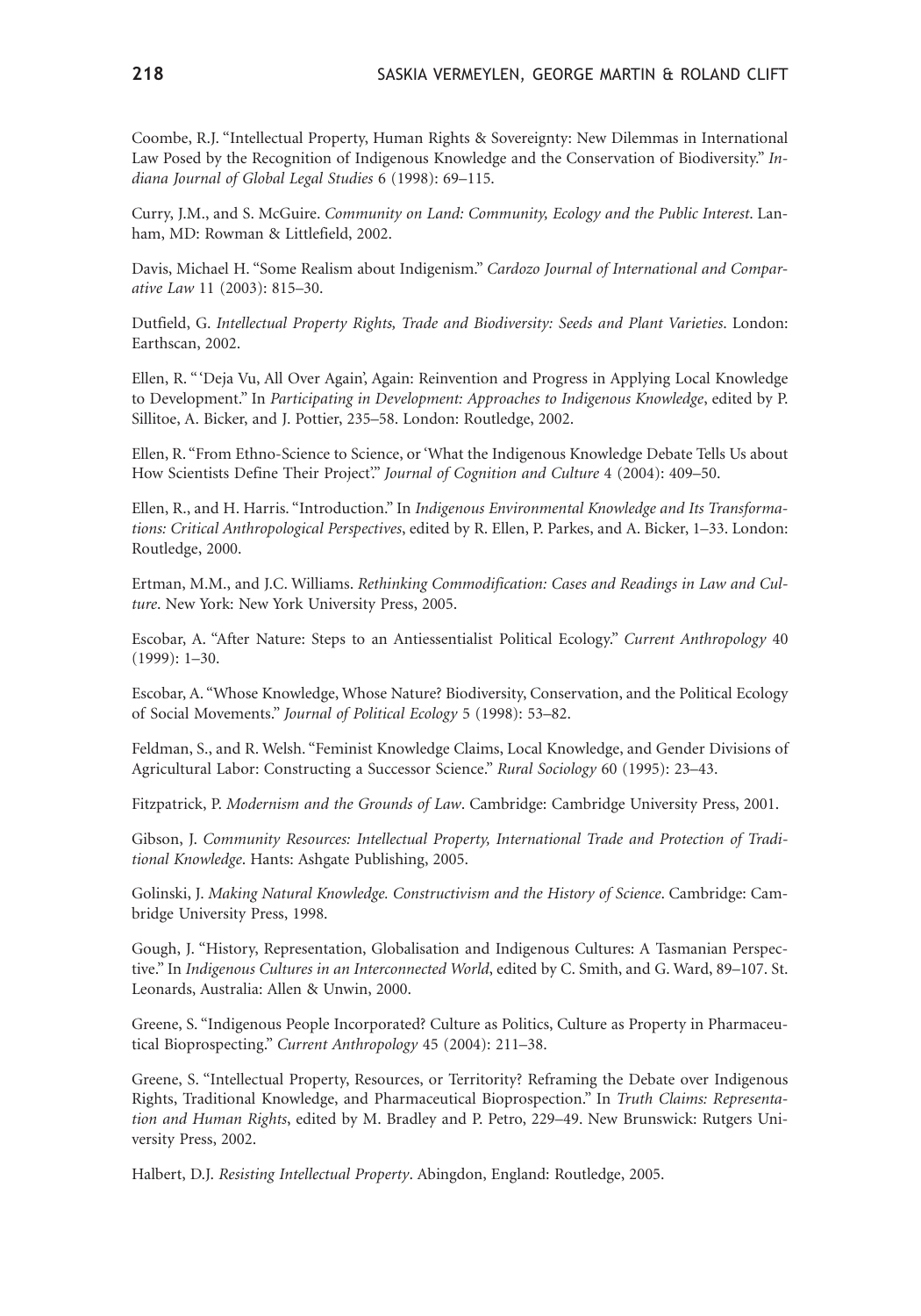Coombe, R.J. "Intellectual Property, Human Rights & Sovereignty: New Dilemmas in International Law Posed by the Recognition of Indigenous Knowledge and the Conservation of Biodiversity." *Indiana Journal of Global Legal Studies* 6 (1998): 69–115.

Curry, J.M., and S. McGuire. *Community on Land: Community, Ecology and the Public Interest*. Lanham, MD: Rowman & Littlefield, 2002.

Davis, Michael H. "Some Realism about Indigenism." *Cardozo Journal of International and Comparative Law* 11 (2003): 815–30.

Dutfield, G. *Intellectual Property Rights, Trade and Biodiversity: Seeds and Plant Varieties*. London: Earthscan, 2002.

Ellen, R. "'Deja Vu, All Over Again', Again: Reinvention and Progress in Applying Local Knowledge to Development." In *Participating in Development: Approaches to Indigenous Knowledge*, edited by P. Sillitoe, A. Bicker, and J. Pottier, 235–58. London: Routledge, 2002.

Ellen, R. "From Ethno-Science to Science, or 'What the Indigenous Knowledge Debate Tells Us about How Scientists Define Their Project'." *Journal of Cognition and Culture* 4 (2004): 409–50.

Ellen, R., and H. Harris. "Introduction." In *Indigenous Environmental Knowledge and Its Transformations: Critical Anthropological Perspectives*, edited by R. Ellen, P. Parkes, and A. Bicker, 1–33. London: Routledge, 2000.

Ertman, M.M., and J.C. Williams. *Rethinking Commodification: Cases and Readings in Law and Culture*. New York: New York University Press, 2005.

Escobar, A. "After Nature: Steps to an Antiessentialist Political Ecology." *Current Anthropology* 40 (1999): 1–30.

Escobar, A. "Whose Knowledge, Whose Nature? Biodiversity, Conservation, and the Political Ecology of Social Movements." *Journal of Political Ecology* 5 (1998): 53–82.

Feldman, S., and R. Welsh. "Feminist Knowledge Claims, Local Knowledge, and Gender Divisions of Agricultural Labor: Constructing a Successor Science." *Rural Sociology* 60 (1995): 23–43.

Fitzpatrick, P. *Modernism and the Grounds of Law*. Cambridge: Cambridge University Press, 2001.

Gibson, J. *Community Resources: Intellectual Property, International Trade and Protection of Traditional Knowledge*. Hants: Ashgate Publishing, 2005.

Golinski, J. *Making Natural Knowledge. Constructivism and the History of Science*. Cambridge: Cambridge University Press, 1998.

Gough, J. "History, Representation, Globalisation and Indigenous Cultures: A Tasmanian Perspective." In *Indigenous Cultures in an Interconnected World*, edited by C. Smith, and G. Ward, 89–107. St. Leonards, Australia: Allen & Unwin, 2000.

Greene, S. "Indigenous People Incorporated? Culture as Politics, Culture as Property in Pharmaceutical Bioprospecting." *Current Anthropology* 45 (2004): 211–38.

Greene, S. "Intellectual Property, Resources, or Territority? Reframing the Debate over Indigenous Rights, Traditional Knowledge, and Pharmaceutical Bioprospection." In *Truth Claims: Representation and Human Rights*, edited by M. Bradley and P. Petro, 229–49. New Brunswick: Rutgers University Press, 2002.

Halbert, D.J. *Resisting Intellectual Property*. Abingdon, England: Routledge, 2005.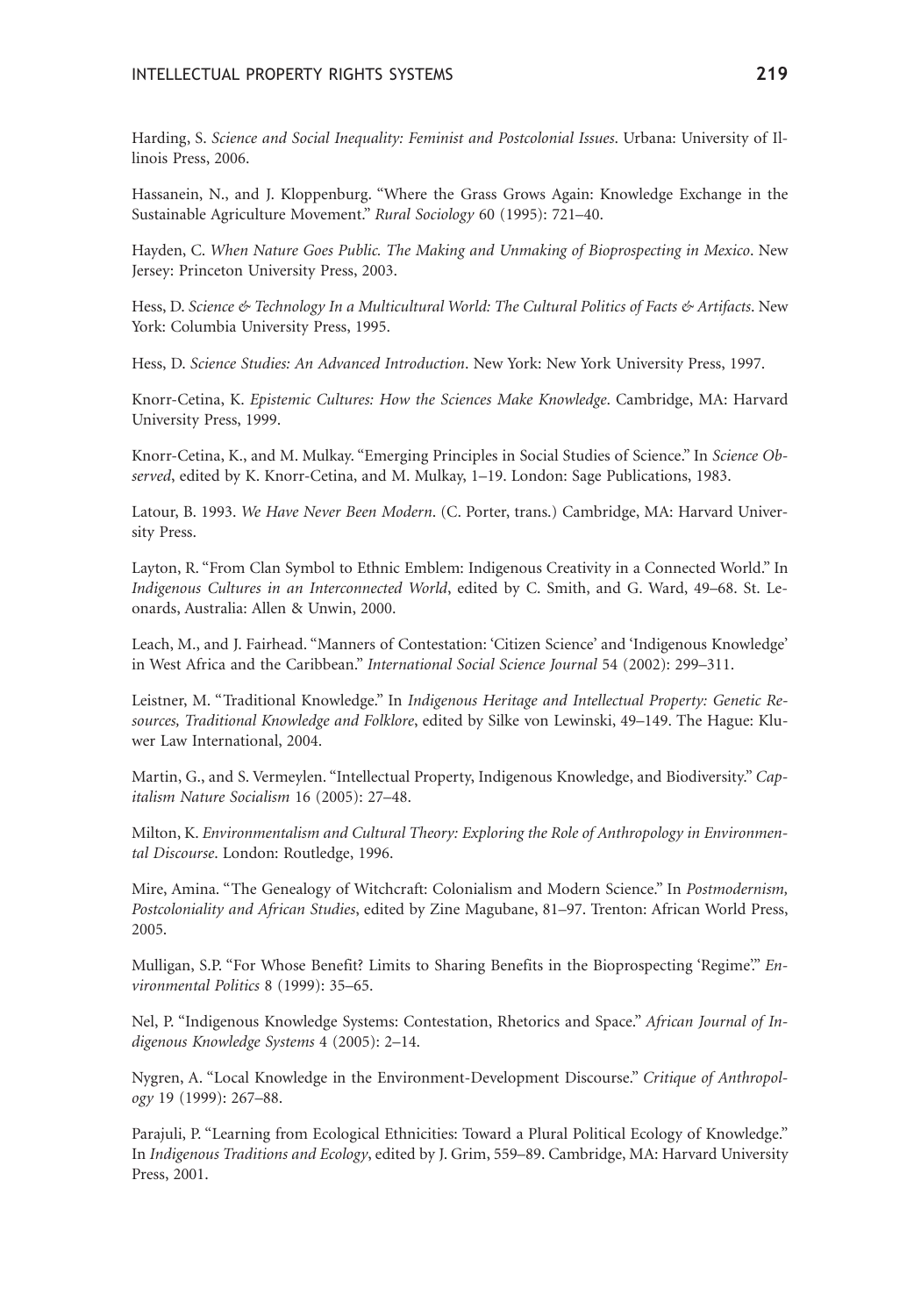Harding, S. *Science and Social Inequality: Feminist and Postcolonial Issues*. Urbana: University of Illinois Press, 2006.

Hassanein, N., and J. Kloppenburg. "Where the Grass Grows Again: Knowledge Exchange in the Sustainable Agriculture Movement." *Rural Sociology* 60 (1995): 721–40.

Hayden, C. *When Nature Goes Public. The Making and Unmaking of Bioprospecting in Mexico*. New Jersey: Princeton University Press, 2003.

Hess, D. *Science & Technology In a Multicultural World: The Cultural Politics of Facts & Artifacts*. New York: Columbia University Press, 1995.

Hess, D. *Science Studies: An Advanced Introduction*. New York: New York University Press, 1997.

Knorr-Cetina, K. *Epistemic Cultures: How the Sciences Make Knowledge*. Cambridge, MA: Harvard University Press, 1999.

Knorr-Cetina, K., and M. Mulkay. "Emerging Principles in Social Studies of Science." In *Science Observed*, edited by K. Knorr-Cetina, and M. Mulkay, 1–19. London: Sage Publications, 1983.

Latour, B. 1993. *We Have Never Been Modern*. (C. Porter, trans.) Cambridge, MA: Harvard University Press.

Layton, R. "From Clan Symbol to Ethnic Emblem: Indigenous Creativity in a Connected World." In *Indigenous Cultures in an Interconnected World*, edited by C. Smith, and G. Ward, 49–68. St. Leonards, Australia: Allen & Unwin, 2000.

Leach, M., and J. Fairhead. "Manners of Contestation: 'Citizen Science' and 'Indigenous Knowledge' in West Africa and the Caribbean." *International Social Science Journal* 54 (2002): 299–311.

Leistner, M. "Traditional Knowledge." In *Indigenous Heritage and Intellectual Property: Genetic Resources, Traditional Knowledge and Folklore*, edited by Silke von Lewinski, 49–149. The Hague: Kluwer Law International, 2004.

Martin, G., and S. Vermeylen. "Intellectual Property, Indigenous Knowledge, and Biodiversity." *Capitalism Nature Socialism* 16 (2005): 27–48.

Milton, K. *Environmentalism and Cultural Theory: Exploring the Role of Anthropology in Environmental Discourse*. London: Routledge, 1996.

Mire, Amina. "The Genealogy of Witchcraft: Colonialism and Modern Science." In *Postmodernism, Postcoloniality and African Studies*, edited by Zine Magubane, 81–97. Trenton: African World Press, 2005.

Mulligan, S.P. "For Whose Benefit? Limits to Sharing Benefits in the Bioprospecting 'Regime'." *Environmental Politics* 8 (1999): 35–65.

Nel, P. "Indigenous Knowledge Systems: Contestation, Rhetorics and Space." *African Journal of Indigenous Knowledge Systems* 4 (2005): 2–14.

Nygren, A. "Local Knowledge in the Environment-Development Discourse." *Critique of Anthropology* 19 (1999): 267–88.

Parajuli, P. "Learning from Ecological Ethnicities: Toward a Plural Political Ecology of Knowledge." In *Indigenous Traditions and Ecology*, edited by J. Grim, 559–89. Cambridge, MA: Harvard University Press, 2001.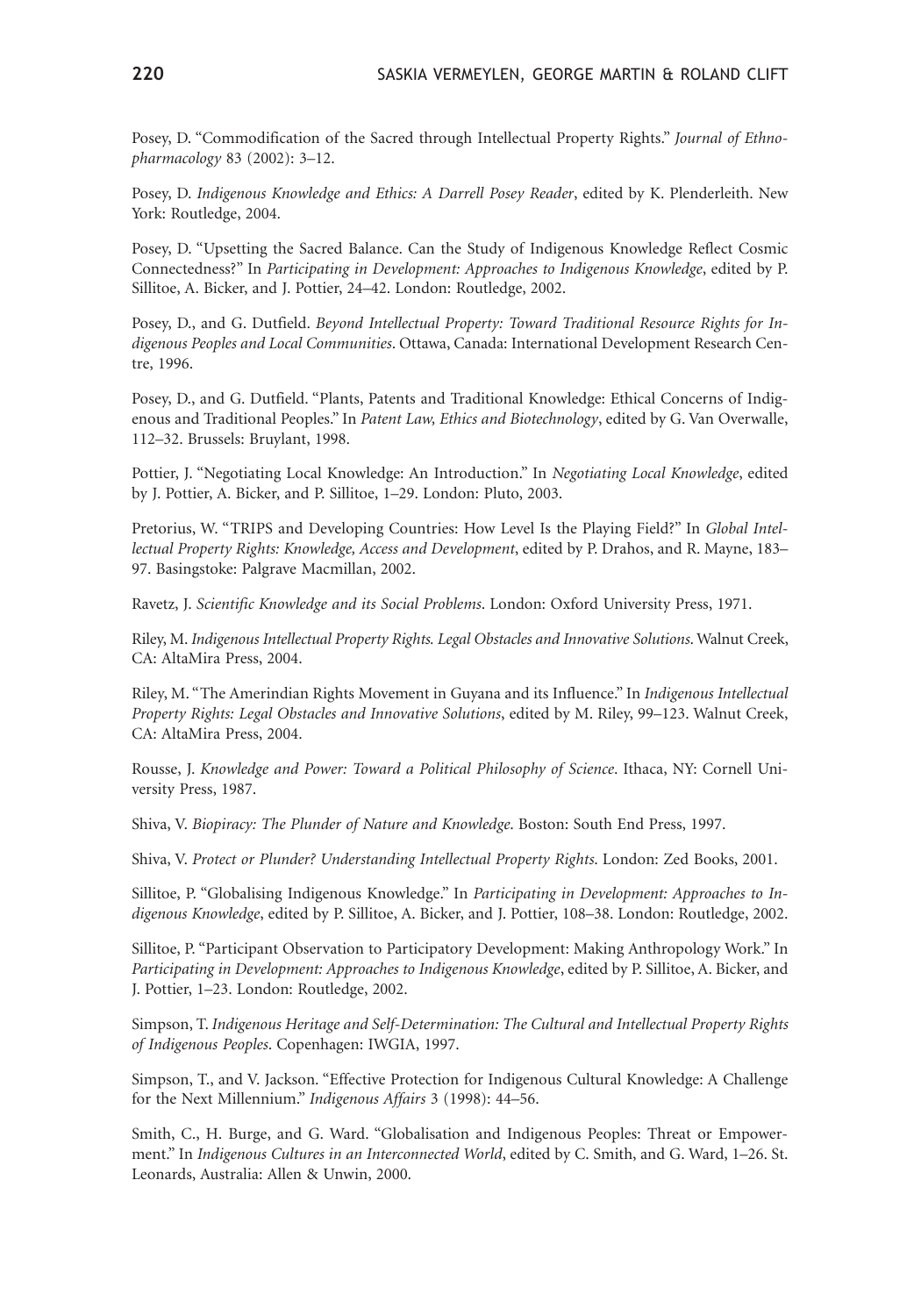Posey, D. "Commodification of the Sacred through Intellectual Property Rights." *Journal of Ethnopharmacology* 83 (2002): 3–12.

Posey, D. *Indigenous Knowledge and Ethics: A Darrell Posey Reader*, edited by K. Plenderleith. New York: Routledge, 2004.

Posey, D. "Upsetting the Sacred Balance. Can the Study of Indigenous Knowledge Reflect Cosmic Connectedness?" In *Participating in Development: Approaches to Indigenous Knowledge*, edited by P. Sillitoe, A. Bicker, and J. Pottier, 24–42. London: Routledge, 2002.

Posey, D., and G. Dutfield. *Beyond Intellectual Property: Toward Traditional Resource Rights for Indigenous Peoples and Local Communities*. Ottawa, Canada: International Development Research Centre, 1996.

Posey, D., and G. Dutfield. "Plants, Patents and Traditional Knowledge: Ethical Concerns of Indigenous and Traditional Peoples." In *Patent Law, Ethics and Biotechnology*, edited by G. Van Overwalle, 112–32. Brussels: Bruylant, 1998.

Pottier, J. "Negotiating Local Knowledge: An Introduction." In *Negotiating Local Knowledge*, edited by J. Pottier, A. Bicker, and P. Sillitoe, 1–29. London: Pluto, 2003.

Pretorius, W. "TRIPS and Developing Countries: How Level Is the Playing Field?" In *Global Intellectual Property Rights: Knowledge, Access and Development*, edited by P. Drahos, and R. Mayne, 183– 97. Basingstoke: Palgrave Macmillan, 2002.

Ravetz, J. *Scientific Knowledge and its Social Problems*. London: Oxford University Press, 1971.

Riley, M. *Indigenous Intellectual Property Rights. Legal Obstacles and Innovative Solutions*. Walnut Creek, CA: AltaMira Press, 2004.

Riley, M. "The Amerindian Rights Movement in Guyana and its Influence." In *Indigenous Intellectual Property Rights: Legal Obstacles and Innovative Solutions*, edited by M. Riley, 99–123. Walnut Creek, CA: AltaMira Press, 2004.

Rousse, J. *Knowledge and Power: Toward a Political Philosophy of Science*. Ithaca, NY: Cornell University Press, 1987.

Shiva, V. *Biopiracy: The Plunder of Nature and Knowledge*. Boston: South End Press, 1997.

Shiva, V. *Protect or Plunder? Understanding Intellectual Property Rights*. London: Zed Books, 2001.

Sillitoe, P. "Globalising Indigenous Knowledge." In *Participating in Development: Approaches to Indigenous Knowledge*, edited by P. Sillitoe, A. Bicker, and J. Pottier, 108–38. London: Routledge, 2002.

Sillitoe, P. "Participant Observation to Participatory Development: Making Anthropology Work." In *Participating in Development: Approaches to Indigenous Knowledge*, edited by P. Sillitoe, A. Bicker, and J. Pottier, 1–23. London: Routledge, 2002.

Simpson, T. *Indigenous Heritage and Self-Determination: The Cultural and Intellectual Property Rights of Indigenous Peoples*. Copenhagen: IWGIA, 1997.

Simpson, T., and V. Jackson. "Effective Protection for Indigenous Cultural Knowledge: A Challenge for the Next Millennium." *Indigenous Affairs* 3 (1998): 44–56.

Smith, C., H. Burge, and G. Ward. "Globalisation and Indigenous Peoples: Threat or Empowerment." In *Indigenous Cultures in an Interconnected World*, edited by C. Smith, and G. Ward, 1–26. St. Leonards, Australia: Allen & Unwin, 2000.